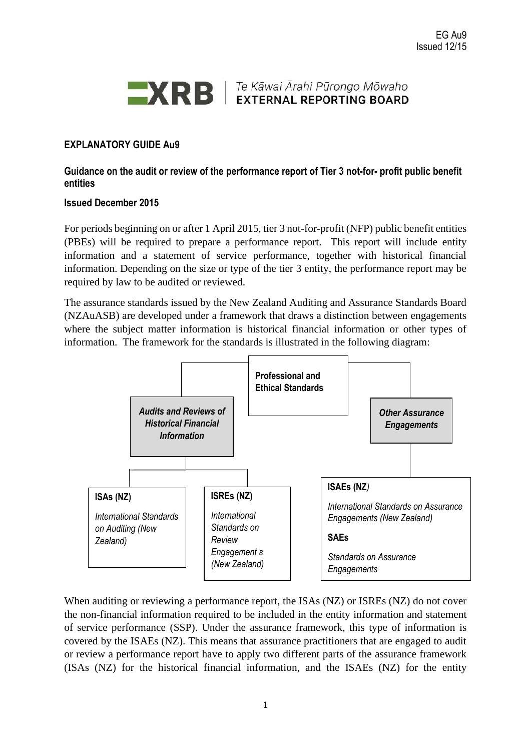

Te Kāwai Ārahi Pūrongo Mõwaho **EXTERNAL REPORTING BOARD** 

# **EXPLANATORY GUIDE Au9**

**Guidance on the audit or review of the performance report of Tier 3 not-for- profit public benefit entities**

#### **Issued December 2015**

For periods beginning on or after 1 April 2015, tier 3 not-for-profit (NFP) public benefit entities (PBEs) will be required to prepare a performance report. This report will include entity information and a statement of service performance, together with historical financial information. Depending on the size or type of the tier 3 entity, the performance report may be required by law to be audited or reviewed.

The assurance standards issued by the New Zealand Auditing and Assurance Standards Board (NZAuASB) are developed under a framework that draws a distinction between engagements where the subject matter information is historical financial information or other types of information. The framework for the standards is illustrated in the following diagram:



When auditing or reviewing a performance report, the ISAs (NZ) or ISREs (NZ) do not cover the non-financial information required to be included in the entity information and statement of service performance (SSP). Under the assurance framework, this type of information is covered by the ISAEs (NZ). This means that assurance practitioners that are engaged to audit or review a performance report have to apply two different parts of the assurance framework (ISAs (NZ) for the historical financial information, and the ISAEs (NZ) for the entity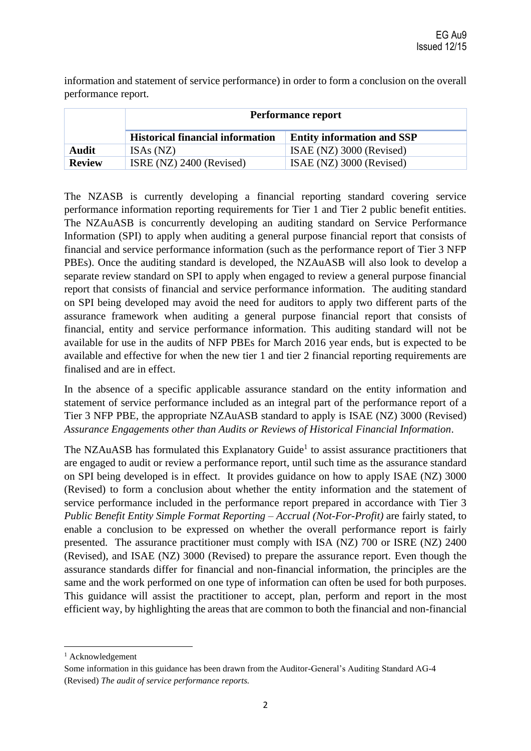information and statement of service performance) in order to form a conclusion on the overall performance report.

|               | <b>Performance report</b>               |                                   |
|---------------|-----------------------------------------|-----------------------------------|
|               | <b>Historical financial information</b> | <b>Entity information and SSP</b> |
| Audit         | ISAs (NZ)                               | ISAE (NZ) 3000 (Revised)          |
| <b>Review</b> | ISRE $(NZ)$ 2400 (Revised)              | ISAE (NZ) 3000 (Revised)          |

The NZASB is currently developing a financial reporting standard covering service performance information reporting requirements for Tier 1 and Tier 2 public benefit entities. The NZAuASB is concurrently developing an auditing standard on Service Performance Information (SPI) to apply when auditing a general purpose financial report that consists of financial and service performance information (such as the performance report of Tier 3 NFP PBEs). Once the auditing standard is developed, the NZAuASB will also look to develop a separate review standard on SPI to apply when engaged to review a general purpose financial report that consists of financial and service performance information. The auditing standard on SPI being developed may avoid the need for auditors to apply two different parts of the assurance framework when auditing a general purpose financial report that consists of financial, entity and service performance information. This auditing standard will not be available for use in the audits of NFP PBEs for March 2016 year ends, but is expected to be available and effective for when the new tier 1 and tier 2 financial reporting requirements are finalised and are in effect.

In the absence of a specific applicable assurance standard on the entity information and statement of service performance included as an integral part of the performance report of a Tier 3 NFP PBE, the appropriate NZAuASB standard to apply is ISAE (NZ) 3000 (Revised) *Assurance Engagements other than Audits or Reviews of Historical Financial Information*.

The NZAuASB has formulated this Explanatory Guide<sup>1</sup> to assist assurance practitioners that are engaged to audit or review a performance report, until such time as the assurance standard on SPI being developed is in effect. It provides guidance on how to apply ISAE (NZ) 3000 (Revised) to form a conclusion about whether the entity information and the statement of service performance included in the performance report prepared in accordance with Tier 3 *Public Benefit Entity Simple Format Reporting – Accrual (Not-For-Profit)* are fairly stated, to enable a conclusion to be expressed on whether the overall performance report is fairly presented. The assurance practitioner must comply with ISA (NZ) 700 or ISRE (NZ) 2400 (Revised), and ISAE (NZ) 3000 (Revised) to prepare the assurance report. Even though the assurance standards differ for financial and non-financial information, the principles are the same and the work performed on one type of information can often be used for both purposes. This guidance will assist the practitioner to accept, plan, perform and report in the most efficient way, by highlighting the areas that are common to both the financial and non-financial

<sup>&</sup>lt;sup>1</sup> Acknowledgement

Some information in this guidance has been drawn from the Auditor-General's Auditing Standard AG-4 (Revised) *The audit of service performance reports.*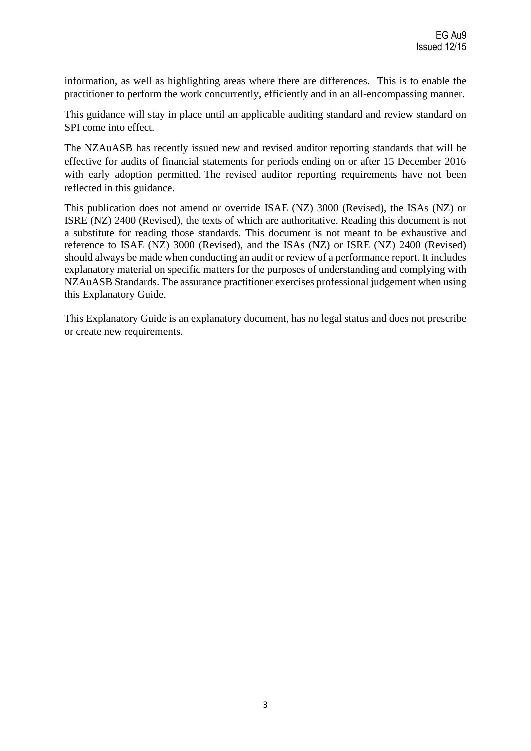information, as well as highlighting areas where there are differences. This is to enable the practitioner to perform the work concurrently, efficiently and in an all-encompassing manner.

This guidance will stay in place until an applicable auditing standard and review standard on SPI come into effect.

The NZAuASB has recently issued new and revised auditor reporting standards that will be effective for audits of financial statements for periods ending on or after 15 December 2016 with early adoption permitted. The revised auditor reporting requirements have not been reflected in this guidance.

This publication does not amend or override ISAE (NZ) 3000 (Revised), the ISAs (NZ) or ISRE (NZ) 2400 (Revised), the texts of which are authoritative. Reading this document is not a substitute for reading those standards. This document is not meant to be exhaustive and reference to ISAE (NZ) 3000 (Revised), and the ISAs (NZ) or ISRE (NZ) 2400 (Revised) should always be made when conducting an audit or review of a performance report. It includes explanatory material on specific matters for the purposes of understanding and complying with NZAuASB Standards. The assurance practitioner exercises professional judgement when using this Explanatory Guide.

This Explanatory Guide is an explanatory document, has no legal status and does not prescribe or create new requirements.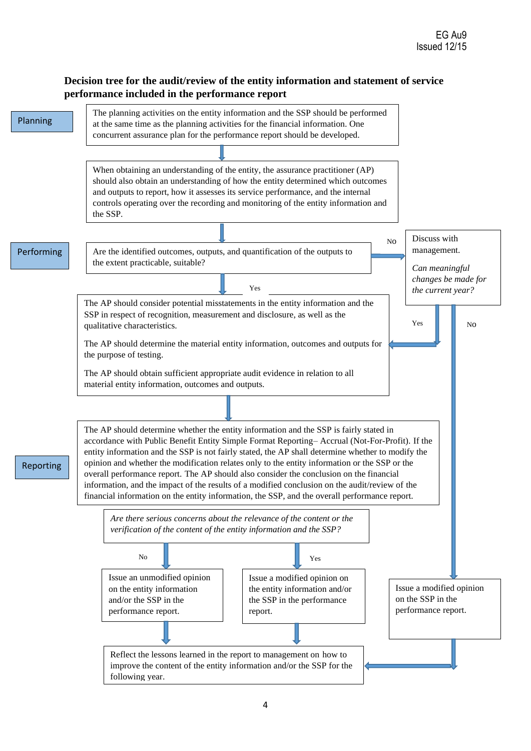# **Decision tree for the audit/review of the entity information and statement of service performance included in the performance report**

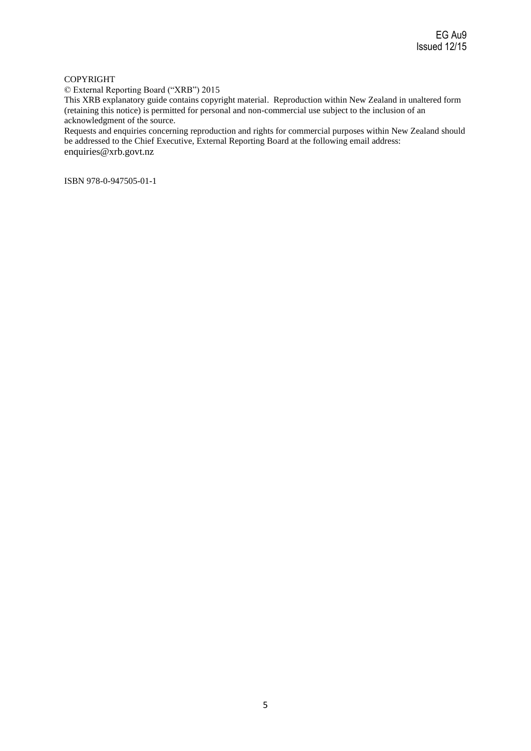#### COPYRIGHT

© External Reporting Board ("XRB") 2015

This XRB explanatory guide contains copyright material. Reproduction within New Zealand in unaltered form (retaining this notice) is permitted for personal and non-commercial use subject to the inclusion of an acknowledgment of the source.

Requests and enquiries concerning reproduction and rights for commercial purposes within New Zealand should be addressed to the Chief Executive, External Reporting Board at the following email address: enquiries@xrb.govt.nz

ISBN 978-0-947505-01-1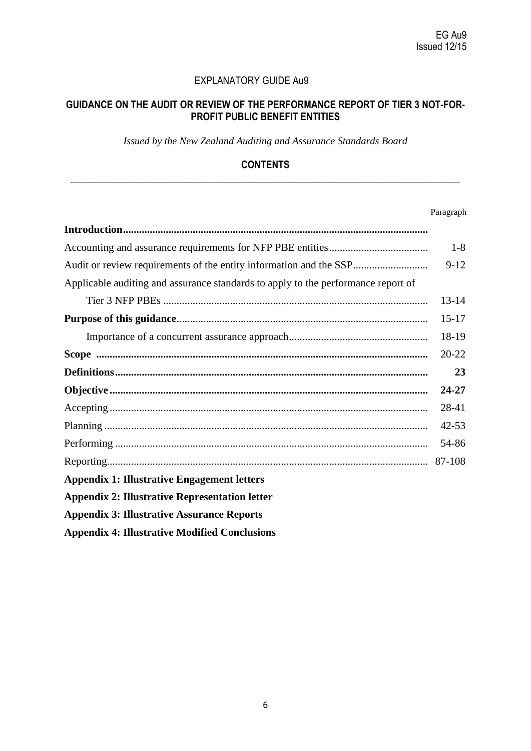### EXPLANATORY GUIDE Au9

# **GUIDANCE ON THE AUDIT OR REVIEW OF THE PERFORMANCE REPORT OF TIER 3 NOT-FOR-PROFIT PUBLIC BENEFIT ENTITIES**

*Issued by the New Zealand Auditing and Assurance Standards Board*

# **CONTENTS \_\_\_\_\_\_\_\_\_\_\_\_\_\_\_\_\_\_\_\_\_\_\_\_\_\_\_\_\_\_\_\_\_\_\_\_\_\_\_\_\_\_\_\_\_\_\_\_\_\_\_\_\_\_\_\_\_\_\_\_\_\_\_\_\_\_\_\_\_\_\_\_\_\_\_\_\_\_\_\_**

#### Paragraph

|                                                                                   | $1 - 8$   |
|-----------------------------------------------------------------------------------|-----------|
| Audit or review requirements of the entity information and the SSP                | $9 - 12$  |
| Applicable auditing and assurance standards to apply to the performance report of |           |
|                                                                                   | $13 - 14$ |
|                                                                                   | $15-17$   |
|                                                                                   | 18-19     |
|                                                                                   | $20 - 22$ |
|                                                                                   | 23        |
|                                                                                   | 24-27     |
|                                                                                   | 28-41     |
|                                                                                   | $42 - 53$ |
|                                                                                   | 54-86     |
|                                                                                   | 87-108    |
| <b>Appendix 1: Illustrative Engagement letters</b>                                |           |
| <b>Appendix 2: Illustrative Representation letter</b>                             |           |
| <b>Appendix 3: Illustrative Assurance Reports</b>                                 |           |
| <b>Appendix 4: Illustrative Modified Conclusions</b>                              |           |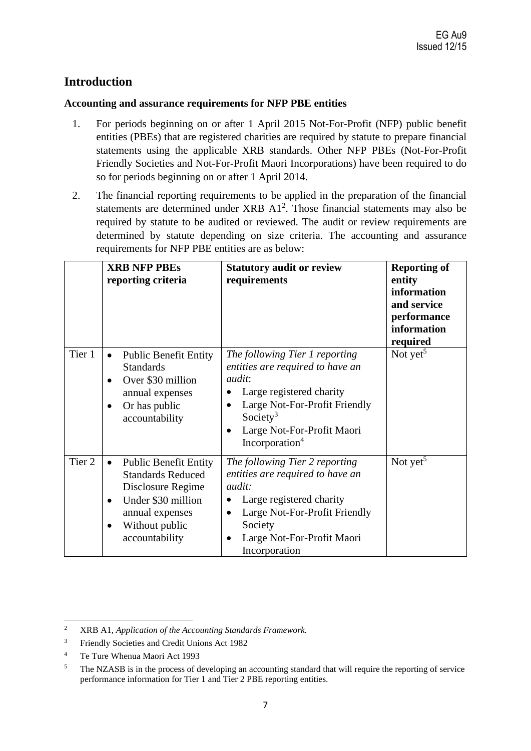# **Introduction**

# **Accounting and assurance requirements for NFP PBE entities**

- 1. For periods beginning on or after 1 April 2015 Not-For-Profit (NFP) public benefit entities (PBEs) that are registered charities are required by statute to prepare financial statements using the applicable XRB standards. Other NFP PBEs (Not-For-Profit Friendly Societies and Not-For-Profit Maori Incorporations) have been required to do so for periods beginning on or after 1 April 2014.
- 2. The financial reporting requirements to be applied in the preparation of the financial statements are determined under XRB  $A1<sup>2</sup>$ . Those financial statements may also be required by statute to be audited or reviewed. The audit or review requirements are determined by statute depending on size criteria. The accounting and assurance requirements for NFP PBE entities are as below:

|        | <b>XRB NFP PBEs</b><br>reporting criteria                                                                                                                                                         | <b>Statutory audit or review</b><br>requirements                                                                                                                                                                                                               | <b>Reporting of</b><br>entity<br>information<br>and service<br>performance<br>information<br>required |
|--------|---------------------------------------------------------------------------------------------------------------------------------------------------------------------------------------------------|----------------------------------------------------------------------------------------------------------------------------------------------------------------------------------------------------------------------------------------------------------------|-------------------------------------------------------------------------------------------------------|
| Tier 1 | <b>Public Benefit Entity</b><br>$\bullet$<br><b>Standards</b><br>Over \$30 million<br>$\bullet$<br>annual expenses<br>Or has public<br>$\bullet$<br>accountability                                | The following Tier 1 reporting<br>entities are required to have an<br><i>audit:</i><br>Large registered charity<br>Large Not-For-Profit Friendly<br>$\bullet$<br>Society <sup>3</sup><br>Large Not-For-Profit Maori<br>$\bullet$<br>Incorporation <sup>4</sup> | Not yet <sup>5</sup>                                                                                  |
| Tier 2 | <b>Public Benefit Entity</b><br>$\bullet$<br><b>Standards Reduced</b><br>Disclosure Regime<br>Under \$30 million<br>$\bullet$<br>annual expenses<br>Without public<br>$\bullet$<br>accountability | The following Tier 2 reporting<br>entities are required to have an<br><i>audit:</i><br>Large registered charity<br>Large Not-For-Profit Friendly<br>$\bullet$<br>Society<br>Large Not-For-Profit Maori<br>$\bullet$<br>Incorporation                           | Not yet <sup>5</sup>                                                                                  |

<sup>2</sup> XRB A1, *Application of the Accounting Standards Framework.*

<sup>&</sup>lt;sup>3</sup> Friendly Societies and Credit Unions Act 1982

<sup>4</sup> Te Ture Whenua Maori Act 1993

<sup>&</sup>lt;sup>5</sup> The NZASB is in the process of developing an accounting standard that will require the reporting of service performance information for Tier 1 and Tier 2 PBE reporting entities.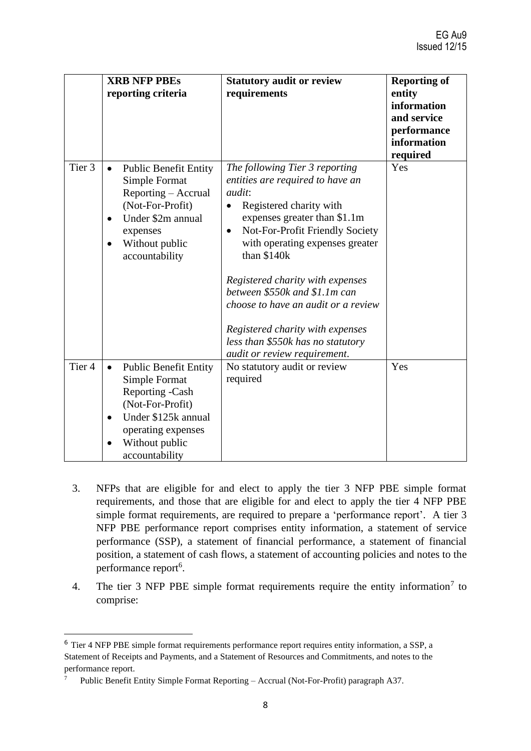|                   | <b>XRB NFP PBEs</b><br>reporting criteria                                                                                                                                                       | <b>Statutory audit or review</b><br>requirements                                                                                                                                                                                                                                                                                                                                                                                                                                   | <b>Reporting of</b><br>entity<br>information<br>and service<br>performance<br>information<br>required |
|-------------------|-------------------------------------------------------------------------------------------------------------------------------------------------------------------------------------------------|------------------------------------------------------------------------------------------------------------------------------------------------------------------------------------------------------------------------------------------------------------------------------------------------------------------------------------------------------------------------------------------------------------------------------------------------------------------------------------|-------------------------------------------------------------------------------------------------------|
| Tier <sub>3</sub> | <b>Public Benefit Entity</b><br>$\bullet$<br>Simple Format<br>Reporting - Accrual<br>(Not-For-Profit)<br>Under \$2m annual<br>$\bullet$<br>expenses<br>Without public<br>accountability         | The following Tier 3 reporting<br>entities are required to have an<br><i>audit:</i><br>Registered charity with<br>$\bullet$<br>expenses greater than \$1.1m<br>Not-For-Profit Friendly Society<br>$\bullet$<br>with operating expenses greater<br>than \$140k<br>Registered charity with expenses<br>between \$550k and \$1.1m can<br>choose to have an audit or a review<br>Registered charity with expenses<br>less than \$550k has no statutory<br>audit or review requirement. | Yes                                                                                                   |
| Tier <sub>4</sub> | <b>Public Benefit Entity</b><br>$\bullet$<br>Simple Format<br>Reporting -Cash<br>(Not-For-Profit)<br>Under \$125k annual<br>$\bullet$<br>operating expenses<br>Without public<br>accountability | No statutory audit or review<br>required                                                                                                                                                                                                                                                                                                                                                                                                                                           | Yes                                                                                                   |

- 3. NFPs that are eligible for and elect to apply the tier 3 NFP PBE simple format requirements, and those that are eligible for and elect to apply the tier 4 NFP PBE simple format requirements, are required to prepare a 'performance report'. A tier 3 NFP PBE performance report comprises entity information, a statement of service performance (SSP), a statement of financial performance, a statement of financial position, a statement of cash flows, a statement of accounting policies and notes to the performance report<sup>6</sup>.
- 4. The tier 3 NFP PBE simple format requirements require the entity information<sup>7</sup> to comprise:

<sup>6</sup> Tier 4 NFP PBE simple format requirements performance report requires entity information, a SSP, a Statement of Receipts and Payments, and a Statement of Resources and Commitments, and notes to the performance report.

<sup>7</sup> Public Benefit Entity Simple Format Reporting – Accrual (Not-For-Profit) paragraph A37.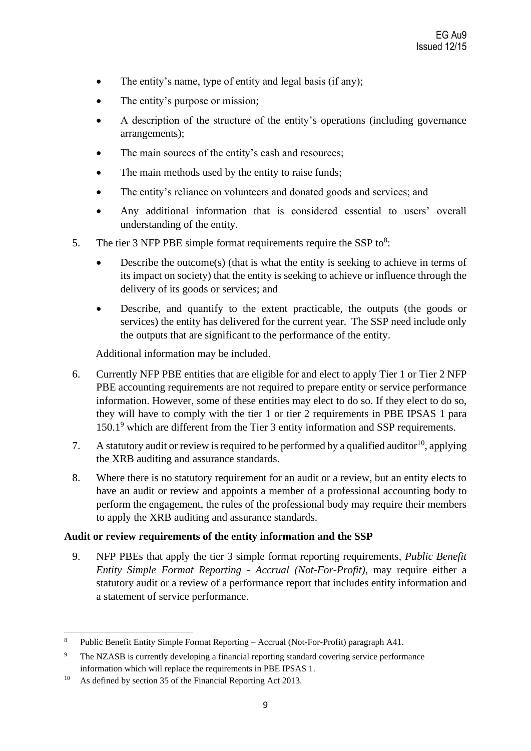- The entity's name, type of entity and legal basis (if any);
- The entity's purpose or mission;
- A description of the structure of the entity's operations (including governance arrangements);
- The main sources of the entity's cash and resources;
- The main methods used by the entity to raise funds;
- The entity's reliance on volunteers and donated goods and services; and
- Any additional information that is considered essential to users' overall understanding of the entity.
- 5. The tier 3 NFP PBE simple format requirements require the SSP to $8$ :
	- Describe the outcome $(s)$  (that is what the entity is seeking to achieve in terms of its impact on society) that the entity is seeking to achieve or influence through the delivery of its goods or services; and
	- Describe, and quantify to the extent practicable, the outputs (the goods or services) the entity has delivered for the current year. The SSP need include only the outputs that are significant to the performance of the entity.

Additional information may be included.

- 6. Currently NFP PBE entities that are eligible for and elect to apply Tier 1 or Tier 2 NFP PBE accounting requirements are not required to prepare entity or service performance information. However, some of these entities may elect to do so. If they elect to do so, they will have to comply with the tier 1 or tier 2 requirements in PBE IPSAS 1 para 150.1<sup>9</sup> which are different from the Tier 3 entity information and SSP requirements.
- 7. A statutory audit or review is required to be performed by a qualified auditor<sup>10</sup>, applying the XRB auditing and assurance standards.
- 8. Where there is no statutory requirement for an audit or a review, but an entity elects to have an audit or review and appoints a member of a professional accounting body to perform the engagement, the rules of the professional body may require their members to apply the XRB auditing and assurance standards.

# **Audit or review requirements of the entity information and the SSP**

9. NFP PBEs that apply the tier 3 simple format reporting requirements, *Public Benefit Entity Simple Format Reporting - Accrual (Not-For-Profit)*, may require either a statutory audit or a review of a performance report that includes entity information and a statement of service performance.

<sup>8</sup> Public Benefit Entity Simple Format Reporting – Accrual (Not-For-Profit) paragraph A41.

<sup>&</sup>lt;sup>9</sup> The NZASB is currently developing a financial reporting standard covering service performance information which will replace the requirements in PBE IPSAS 1.

<sup>&</sup>lt;sup>10</sup> As defined by section 35 of the Financial Reporting Act 2013.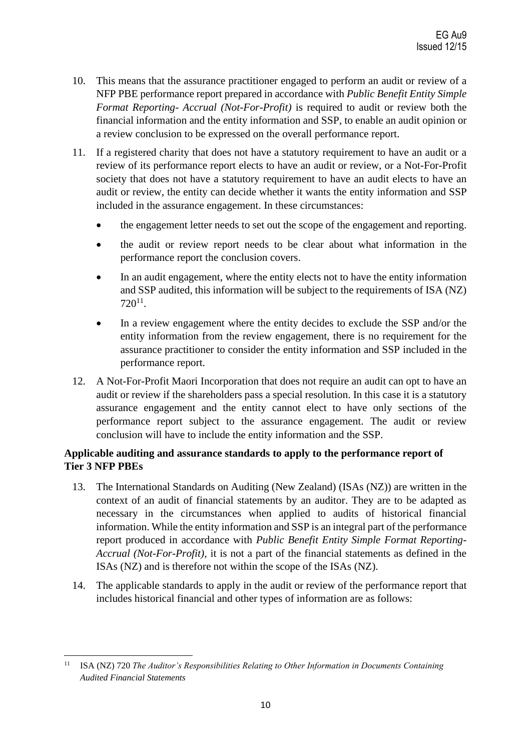- 10. This means that the assurance practitioner engaged to perform an audit or review of a NFP PBE performance report prepared in accordance with *Public Benefit Entity Simple Format Reporting- Accrual (Not-For-Profit)* is required to audit or review both the financial information and the entity information and SSP, to enable an audit opinion or a review conclusion to be expressed on the overall performance report.
- 11. If a registered charity that does not have a statutory requirement to have an audit or a review of its performance report elects to have an audit or review, or a Not-For-Profit society that does not have a statutory requirement to have an audit elects to have an audit or review, the entity can decide whether it wants the entity information and SSP included in the assurance engagement. In these circumstances:
	- the engagement letter needs to set out the scope of the engagement and reporting.
	- the audit or review report needs to be clear about what information in the performance report the conclusion covers.
	- In an audit engagement, where the entity elects not to have the entity information and SSP audited, this information will be subject to the requirements of ISA (NZ)  $720^{11}$ .
	- In a review engagement where the entity decides to exclude the SSP and/or the entity information from the review engagement, there is no requirement for the assurance practitioner to consider the entity information and SSP included in the performance report.
- 12. A Not-For-Profit Maori Incorporation that does not require an audit can opt to have an audit or review if the shareholders pass a special resolution. In this case it is a statutory assurance engagement and the entity cannot elect to have only sections of the performance report subject to the assurance engagement. The audit or review conclusion will have to include the entity information and the SSP.

# **Applicable auditing and assurance standards to apply to the performance report of Tier 3 NFP PBEs**

- 13. The International Standards on Auditing (New Zealand) (ISAs (NZ)) are written in the context of an audit of financial statements by an auditor. They are to be adapted as necessary in the circumstances when applied to audits of historical financial information. While the entity information and SSP is an integral part of the performance report produced in accordance with *Public Benefit Entity Simple Format Reporting-Accrual (Not-For-Profit),* it is not a part of the financial statements as defined in the ISAs (NZ) and is therefore not within the scope of the ISAs (NZ).
- 14. The applicable standards to apply in the audit or review of the performance report that includes historical financial and other types of information are as follows:

<sup>&</sup>lt;sup>11</sup> ISA (NZ) 720 *The Auditor's Responsibilities Relating to Other Information in Documents Containing Audited Financial Statements*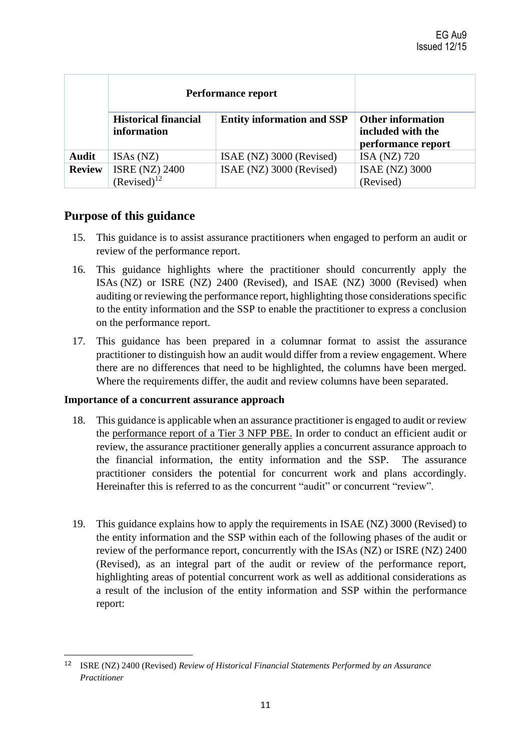|               | Performance report                         |                                   |                                                                     |
|---------------|--------------------------------------------|-----------------------------------|---------------------------------------------------------------------|
|               | <b>Historical financial</b><br>information | <b>Entity information and SSP</b> | <b>Other information</b><br>included with the<br>performance report |
| <b>Audit</b>  | ISAs (NZ)                                  | ISAE (NZ) 3000 (Revised)          | ISA (NZ) 720                                                        |
| <b>Review</b> | <b>ISRE (NZ) 2400</b><br>$(Revised)^{12}$  | ISAE (NZ) 3000 (Revised)          | <b>ISAE (NZ) 3000</b><br>(Revised)                                  |

# **Purpose of this guidance**

- 15. This guidance is to assist assurance practitioners when engaged to perform an audit or review of the performance report.
- 16. This guidance highlights where the practitioner should concurrently apply the ISAs (NZ) or ISRE (NZ) 2400 (Revised), and ISAE (NZ) 3000 (Revised) when auditing or reviewing the performance report, highlighting those considerations specific to the entity information and the SSP to enable the practitioner to express a conclusion on the performance report.
- 17. This guidance has been prepared in a columnar format to assist the assurance practitioner to distinguish how an audit would differ from a review engagement. Where there are no differences that need to be highlighted, the columns have been merged. Where the requirements differ, the audit and review columns have been separated.

# **Importance of a concurrent assurance approach**

- 18. This guidance is applicable when an assurance practitioner is engaged to audit or review the performance report of a Tier 3 NFP PBE. In order to conduct an efficient audit or review, the assurance practitioner generally applies a concurrent assurance approach to the financial information, the entity information and the SSP. The assurance practitioner considers the potential for concurrent work and plans accordingly. Hereinafter this is referred to as the concurrent "audit" or concurrent "review".
- 19. This guidance explains how to apply the requirements in ISAE (NZ) 3000 (Revised) to the entity information and the SSP within each of the following phases of the audit or review of the performance report, concurrently with the ISAs (NZ) or ISRE (NZ) 2400 (Revised), as an integral part of the audit or review of the performance report, highlighting areas of potential concurrent work as well as additional considerations as a result of the inclusion of the entity information and SSP within the performance report:

<sup>12</sup> ISRE (NZ) 2400 (Revised) *Review of Historical Financial Statements Performed by an Assurance Practitioner*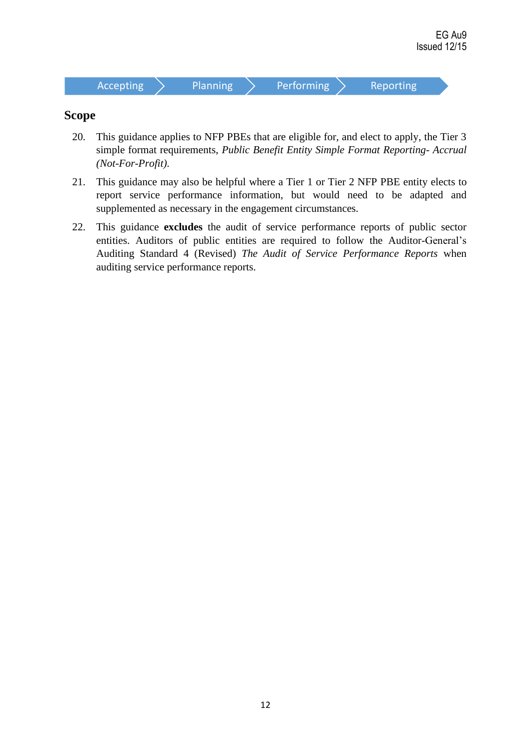

# **Scope**

- 20. This guidance applies to NFP PBEs that are eligible for, and elect to apply, the Tier 3 simple format requirements, *Public Benefit Entity Simple Format Reporting- Accrual (Not-For-Profit).*
- 21. This guidance may also be helpful where a Tier 1 or Tier 2 NFP PBE entity elects to report service performance information, but would need to be adapted and supplemented as necessary in the engagement circumstances.
- 22. This guidance **excludes** the audit of service performance reports of public sector entities. Auditors of public entities are required to follow the Auditor-General's Auditing Standard 4 (Revised) *The Audit of Service Performance Reports* when auditing service performance reports.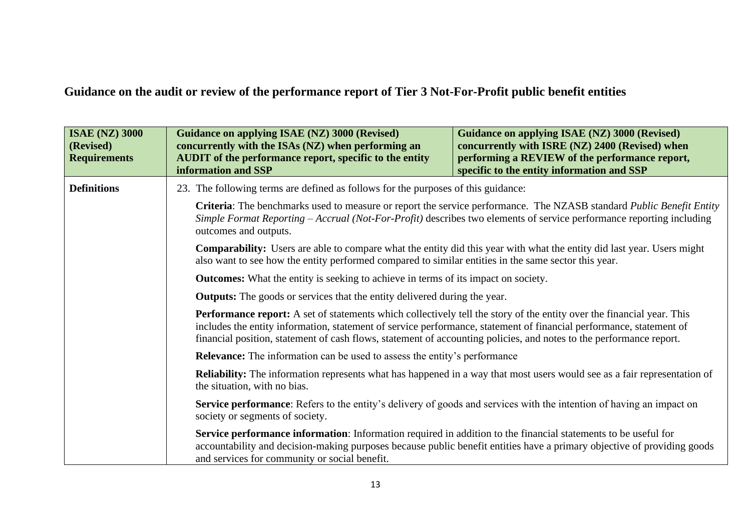**Guidance on the audit or review of the performance report of Tier 3 Not-For-Profit public benefit entities**

| <b>ISAE (NZ) 3000</b><br>(Revised)<br><b>Requirements</b> | Guidance on applying ISAE (NZ) 3000 (Revised)<br>concurrently with the ISAs (NZ) when performing an<br><b>AUDIT</b> of the performance report, specific to the entity<br>information and SSP | Guidance on applying ISAE (NZ) 3000 (Revised)<br>concurrently with ISRE (NZ) 2400 (Revised) when<br>performing a REVIEW of the performance report,<br>specific to the entity information and SSP                                                                                                                                                                           |  |
|-----------------------------------------------------------|----------------------------------------------------------------------------------------------------------------------------------------------------------------------------------------------|----------------------------------------------------------------------------------------------------------------------------------------------------------------------------------------------------------------------------------------------------------------------------------------------------------------------------------------------------------------------------|--|
| <b>Definitions</b>                                        | 23. The following terms are defined as follows for the purposes of this guidance:                                                                                                            |                                                                                                                                                                                                                                                                                                                                                                            |  |
|                                                           | outcomes and outputs.                                                                                                                                                                        | Criteria: The benchmarks used to measure or report the service performance. The NZASB standard Public Benefit Entity<br>Simple Format Reporting – Accrual (Not-For-Profit) describes two elements of service performance reporting including                                                                                                                               |  |
|                                                           |                                                                                                                                                                                              | <b>Comparability:</b> Users are able to compare what the entity did this year with what the entity did last year. Users might<br>also want to see how the entity performed compared to similar entities in the same sector this year.                                                                                                                                      |  |
|                                                           |                                                                                                                                                                                              | <b>Outcomes:</b> What the entity is seeking to achieve in terms of its impact on society.                                                                                                                                                                                                                                                                                  |  |
|                                                           | <b>Outputs:</b> The goods or services that the entity delivered during the year.                                                                                                             |                                                                                                                                                                                                                                                                                                                                                                            |  |
|                                                           |                                                                                                                                                                                              | <b>Performance report:</b> A set of statements which collectively tell the story of the entity over the financial year. This<br>includes the entity information, statement of service performance, statement of financial performance, statement of<br>financial position, statement of cash flows, statement of accounting policies, and notes to the performance report. |  |
|                                                           | <b>Relevance:</b> The information can be used to assess the entity's performance                                                                                                             |                                                                                                                                                                                                                                                                                                                                                                            |  |
|                                                           | <b>Reliability:</b> The information represents what has happened in a way that most users would see as a fair representation of<br>the situation, with no bias.                              |                                                                                                                                                                                                                                                                                                                                                                            |  |
|                                                           | Service performance: Refers to the entity's delivery of goods and services with the intention of having an impact on<br>society or segments of society.                                      |                                                                                                                                                                                                                                                                                                                                                                            |  |
|                                                           | Service performance information: Information required in addition to the financial statements to be useful for<br>and services for community or social benefit.                              | accountability and decision-making purposes because public benefit entities have a primary objective of providing goods                                                                                                                                                                                                                                                    |  |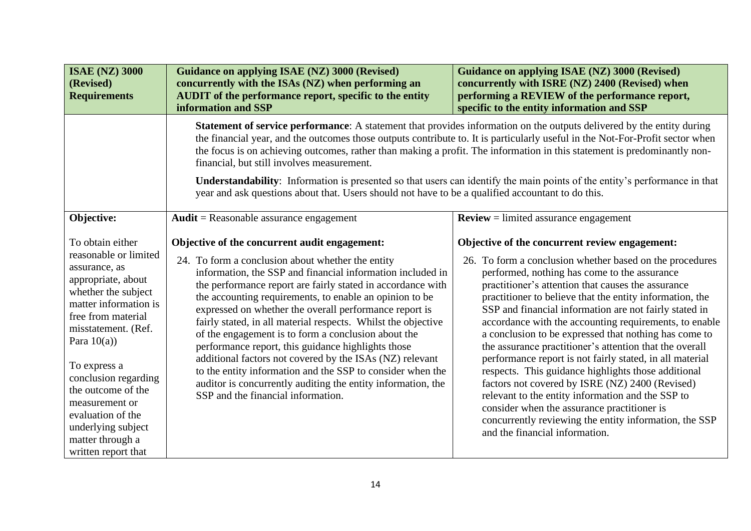| <b>ISAE (NZ) 3000</b><br>(Revised)<br><b>Requirements</b>                                                                                                                                                                                                                                                                                                             | <b>Guidance on applying ISAE (NZ) 3000 (Revised)</b><br>concurrently with the ISAs (NZ) when performing an<br><b>AUDIT</b> of the performance report, specific to the entity<br>information and SSP                                                                                                                                                                                                                                                                                                                                                                                                                                                                                                                                                                | <b>Guidance on applying ISAE (NZ) 3000 (Revised)</b><br>concurrently with ISRE (NZ) 2400 (Revised) when<br>performing a REVIEW of the performance report,<br>specific to the entity information and SSP                                                                                                                                                                                                                                                                                                                                                                                                                                                                                                                                                                                                                                                                                    |
|-----------------------------------------------------------------------------------------------------------------------------------------------------------------------------------------------------------------------------------------------------------------------------------------------------------------------------------------------------------------------|--------------------------------------------------------------------------------------------------------------------------------------------------------------------------------------------------------------------------------------------------------------------------------------------------------------------------------------------------------------------------------------------------------------------------------------------------------------------------------------------------------------------------------------------------------------------------------------------------------------------------------------------------------------------------------------------------------------------------------------------------------------------|--------------------------------------------------------------------------------------------------------------------------------------------------------------------------------------------------------------------------------------------------------------------------------------------------------------------------------------------------------------------------------------------------------------------------------------------------------------------------------------------------------------------------------------------------------------------------------------------------------------------------------------------------------------------------------------------------------------------------------------------------------------------------------------------------------------------------------------------------------------------------------------------|
|                                                                                                                                                                                                                                                                                                                                                                       | Statement of service performance: A statement that provides information on the outputs delivered by the entity during<br>the financial year, and the outcomes those outputs contribute to. It is particularly useful in the Not-For-Profit sector when<br>the focus is on achieving outcomes, rather than making a profit. The information in this statement is predominantly non-<br>financial, but still involves measurement.<br>Understandability: Information is presented so that users can identify the main points of the entity's performance in that<br>year and ask questions about that. Users should not have to be a qualified accountant to do this.                                                                                                |                                                                                                                                                                                                                                                                                                                                                                                                                                                                                                                                                                                                                                                                                                                                                                                                                                                                                            |
| Objective:                                                                                                                                                                                                                                                                                                                                                            | $Audit = Reasonable$ assurance engagement                                                                                                                                                                                                                                                                                                                                                                                                                                                                                                                                                                                                                                                                                                                          | $Review = limited$ assurance engagement                                                                                                                                                                                                                                                                                                                                                                                                                                                                                                                                                                                                                                                                                                                                                                                                                                                    |
| To obtain either<br>reasonable or limited<br>assurance, as<br>appropriate, about<br>whether the subject<br>matter information is<br>free from material<br>misstatement. (Ref.<br>Para $10(a)$ )<br>To express a<br>conclusion regarding<br>the outcome of the<br>measurement or<br>evaluation of the<br>underlying subject<br>matter through a<br>written report that | Objective of the concurrent audit engagement:<br>24. To form a conclusion about whether the entity<br>information, the SSP and financial information included in<br>the performance report are fairly stated in accordance with<br>the accounting requirements, to enable an opinion to be<br>expressed on whether the overall performance report is<br>fairly stated, in all material respects. Whilst the objective<br>of the engagement is to form a conclusion about the<br>performance report, this guidance highlights those<br>additional factors not covered by the ISAs (NZ) relevant<br>to the entity information and the SSP to consider when the<br>auditor is concurrently auditing the entity information, the<br>SSP and the financial information. | Objective of the concurrent review engagement:<br>26. To form a conclusion whether based on the procedures<br>performed, nothing has come to the assurance<br>practitioner's attention that causes the assurance<br>practitioner to believe that the entity information, the<br>SSP and financial information are not fairly stated in<br>accordance with the accounting requirements, to enable<br>a conclusion to be expressed that nothing has come to<br>the assurance practitioner's attention that the overall<br>performance report is not fairly stated, in all material<br>respects. This guidance highlights those additional<br>factors not covered by ISRE (NZ) 2400 (Revised)<br>relevant to the entity information and the SSP to<br>consider when the assurance practitioner is<br>concurrently reviewing the entity information, the SSP<br>and the financial information. |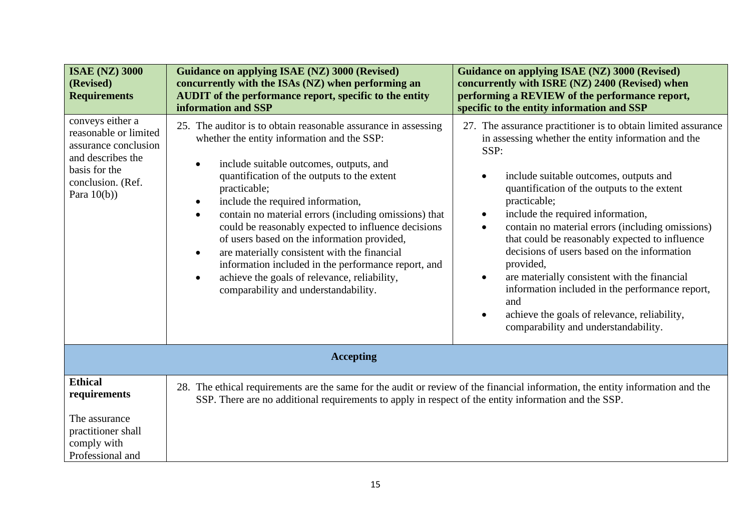| <b>ISAE (NZ) 3000</b><br>(Revised)<br><b>Requirements</b>                                                                                      | Guidance on applying ISAE (NZ) 3000 (Revised)<br>concurrently with the ISAs (NZ) when performing an<br><b>AUDIT</b> of the performance report, specific to the entity<br>information and SSP                                                                                                                                                                                                                                                                                                                                                                                                                                                                                                | <b>Guidance on applying ISAE (NZ) 3000 (Revised)</b><br>concurrently with ISRE (NZ) 2400 (Revised) when<br>performing a REVIEW of the performance report,<br>specific to the entity information and SSP                                                                                                                                                                                                                                                                                                                                                                                                                                                                               |
|------------------------------------------------------------------------------------------------------------------------------------------------|---------------------------------------------------------------------------------------------------------------------------------------------------------------------------------------------------------------------------------------------------------------------------------------------------------------------------------------------------------------------------------------------------------------------------------------------------------------------------------------------------------------------------------------------------------------------------------------------------------------------------------------------------------------------------------------------|---------------------------------------------------------------------------------------------------------------------------------------------------------------------------------------------------------------------------------------------------------------------------------------------------------------------------------------------------------------------------------------------------------------------------------------------------------------------------------------------------------------------------------------------------------------------------------------------------------------------------------------------------------------------------------------|
| conveys either a<br>reasonable or limited<br>assurance conclusion<br>and describes the<br>basis for the<br>conclusion. (Ref.<br>Para $10(b)$ ) | 25. The auditor is to obtain reasonable assurance in assessing<br>whether the entity information and the SSP:<br>include suitable outcomes, outputs, and<br>$\bullet$<br>quantification of the outputs to the extent<br>practicable;<br>include the required information,<br>$\bullet$<br>contain no material errors (including omissions) that<br>$\bullet$<br>could be reasonably expected to influence decisions<br>of users based on the information provided,<br>are materially consistent with the financial<br>$\bullet$<br>information included in the performance report, and<br>achieve the goals of relevance, reliability,<br>$\bullet$<br>comparability and understandability. | 27. The assurance practitioner is to obtain limited assurance<br>in assessing whether the entity information and the<br>SSP:<br>include suitable outcomes, outputs and<br>quantification of the outputs to the extent<br>practicable;<br>include the required information,<br>$\bullet$<br>contain no material errors (including omissions)<br>$\bullet$<br>that could be reasonably expected to influence<br>decisions of users based on the information<br>provided,<br>are materially consistent with the financial<br>information included in the performance report,<br>and<br>achieve the goals of relevance, reliability,<br>$\bullet$<br>comparability and understandability. |
|                                                                                                                                                | <b>Accepting</b>                                                                                                                                                                                                                                                                                                                                                                                                                                                                                                                                                                                                                                                                            |                                                                                                                                                                                                                                                                                                                                                                                                                                                                                                                                                                                                                                                                                       |
| <b>Ethical</b><br>requirements                                                                                                                 | 28. The ethical requirements are the same for the audit or review of the financial information, the entity information and the<br>SSP. There are no additional requirements to apply in respect of the entity information and the SSP.                                                                                                                                                                                                                                                                                                                                                                                                                                                      |                                                                                                                                                                                                                                                                                                                                                                                                                                                                                                                                                                                                                                                                                       |
| The assurance<br>practitioner shall<br>comply with<br>Professional and                                                                         |                                                                                                                                                                                                                                                                                                                                                                                                                                                                                                                                                                                                                                                                                             |                                                                                                                                                                                                                                                                                                                                                                                                                                                                                                                                                                                                                                                                                       |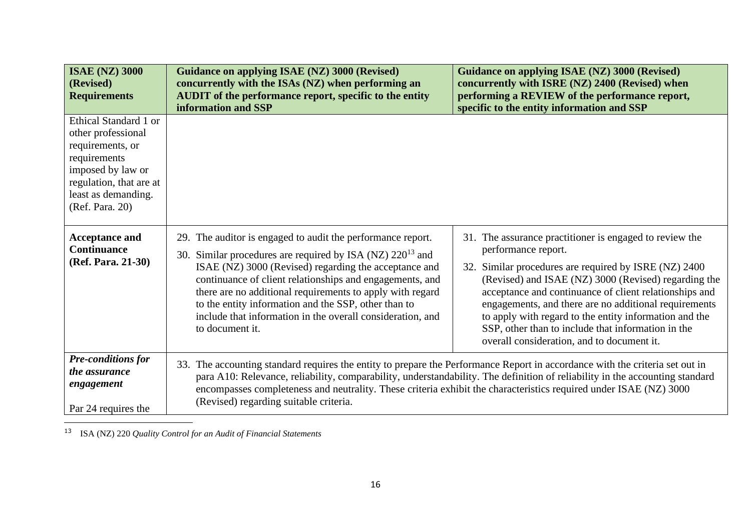| <b>ISAE (NZ) 3000</b><br>(Revised)<br><b>Requirements</b>                                                                                                                 | <b>Guidance on applying ISAE (NZ) 3000 (Revised)</b><br>concurrently with the ISAs (NZ) when performing an<br><b>AUDIT</b> of the performance report, specific to the entity<br>information and SSP                                                                                                                                                                                                                                                      | <b>Guidance on applying ISAE (NZ) 3000 (Revised)</b><br>concurrently with ISRE (NZ) 2400 (Revised) when<br>performing a REVIEW of the performance report,<br>specific to the entity information and SSP                                                                                                                                                                                                                                                                          |
|---------------------------------------------------------------------------------------------------------------------------------------------------------------------------|----------------------------------------------------------------------------------------------------------------------------------------------------------------------------------------------------------------------------------------------------------------------------------------------------------------------------------------------------------------------------------------------------------------------------------------------------------|----------------------------------------------------------------------------------------------------------------------------------------------------------------------------------------------------------------------------------------------------------------------------------------------------------------------------------------------------------------------------------------------------------------------------------------------------------------------------------|
| Ethical Standard 1 or<br>other professional<br>requirements, or<br>requirements<br>imposed by law or<br>regulation, that are at<br>least as demanding.<br>(Ref. Para. 20) |                                                                                                                                                                                                                                                                                                                                                                                                                                                          |                                                                                                                                                                                                                                                                                                                                                                                                                                                                                  |
| <b>Acceptance and</b><br><b>Continuance</b><br>(Ref. Para. 21-30)                                                                                                         | 29. The auditor is engaged to audit the performance report.<br>30. Similar procedures are required by ISA (NZ) $220^{13}$ and<br>ISAE (NZ) 3000 (Revised) regarding the acceptance and<br>continuance of client relationships and engagements, and<br>there are no additional requirements to apply with regard<br>to the entity information and the SSP, other than to<br>include that information in the overall consideration, and<br>to document it. | 31. The assurance practitioner is engaged to review the<br>performance report.<br>32. Similar procedures are required by ISRE (NZ) 2400<br>(Revised) and ISAE (NZ) 3000 (Revised) regarding the<br>acceptance and continuance of client relationships and<br>engagements, and there are no additional requirements<br>to apply with regard to the entity information and the<br>SSP, other than to include that information in the<br>overall consideration, and to document it. |
| <b>Pre-conditions for</b><br>the assurance<br>engagement<br>Par 24 requires the                                                                                           | 33. The accounting standard requires the entity to prepare the Performance Report in accordance with the criteria set out in<br>encompasses completeness and neutrality. These criteria exhibit the characteristics required under ISAE (NZ) 3000<br>(Revised) regarding suitable criteria.                                                                                                                                                              | para A10: Relevance, reliability, comparability, understandability. The definition of reliability in the accounting standard                                                                                                                                                                                                                                                                                                                                                     |

<sup>13</sup> ISA (NZ) 220 *Quality Control for an Audit of Financial Statements*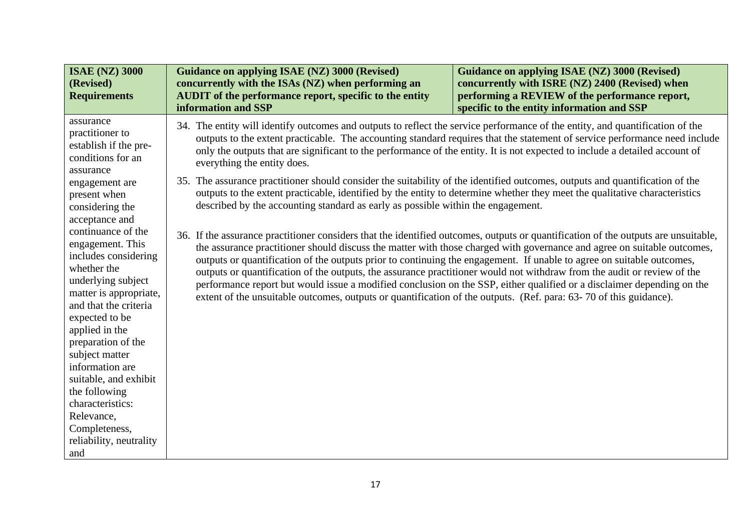| <b>ISAE (NZ) 3000</b><br>(Revised)<br><b>Requirements</b>                                                                                                                                                                                                                                                                                                                                                                                                                                                                                              | <b>Guidance on applying ISAE (NZ) 3000 (Revised)</b><br>concurrently with the ISAs (NZ) when performing an<br><b>AUDIT</b> of the performance report, specific to the entity<br>information and SSP                                                                                                                                                                                                                                                                                                                                                                                                                                                                                                                                                                                                                                                                                                                                                                                                                                                                                                                                                          | Guidance on applying ISAE (NZ) 3000 (Revised)<br>concurrently with ISRE (NZ) 2400 (Revised) when<br>performing a REVIEW of the performance report,<br>specific to the entity information and SSP                                                                                                                                                                                |
|--------------------------------------------------------------------------------------------------------------------------------------------------------------------------------------------------------------------------------------------------------------------------------------------------------------------------------------------------------------------------------------------------------------------------------------------------------------------------------------------------------------------------------------------------------|--------------------------------------------------------------------------------------------------------------------------------------------------------------------------------------------------------------------------------------------------------------------------------------------------------------------------------------------------------------------------------------------------------------------------------------------------------------------------------------------------------------------------------------------------------------------------------------------------------------------------------------------------------------------------------------------------------------------------------------------------------------------------------------------------------------------------------------------------------------------------------------------------------------------------------------------------------------------------------------------------------------------------------------------------------------------------------------------------------------------------------------------------------------|---------------------------------------------------------------------------------------------------------------------------------------------------------------------------------------------------------------------------------------------------------------------------------------------------------------------------------------------------------------------------------|
| assurance<br>practitioner to<br>establish if the pre-<br>conditions for an<br>assurance<br>engagement are<br>present when<br>considering the<br>acceptance and<br>continuance of the<br>engagement. This<br>includes considering<br>whether the<br>underlying subject<br>matter is appropriate,<br>and that the criteria<br>expected to be<br>applied in the<br>preparation of the<br>subject matter<br>information are<br>suitable, and exhibit<br>the following<br>characteristics:<br>Relevance,<br>Completeness,<br>reliability, neutrality<br>and | 34. The entity will identify outcomes and outputs to reflect the service performance of the entity, and quantification of the<br>only the outputs that are significant to the performance of the entity. It is not expected to include a detailed account of<br>everything the entity does.<br>35. The assurance practitioner should consider the suitability of the identified outcomes, outputs and quantification of the<br>outputs to the extent practicable, identified by the entity to determine whether they meet the qualitative characteristics<br>described by the accounting standard as early as possible within the engagement.<br>36. If the assurance practitioner considers that the identified outcomes, outputs or quantification of the outputs are unsuitable,<br>outputs or quantification of the outputs prior to continuing the engagement. If unable to agree on suitable outcomes,<br>outputs or quantification of the outputs, the assurance practitioner would not withdraw from the audit or review of the<br>extent of the unsuitable outcomes, outputs or quantification of the outputs. (Ref. para: 63-70 of this guidance). | outputs to the extent practicable. The accounting standard requires that the statement of service performance need include<br>the assurance practitioner should discuss the matter with those charged with governance and agree on suitable outcomes,<br>performance report but would issue a modified conclusion on the SSP, either qualified or a disclaimer depending on the |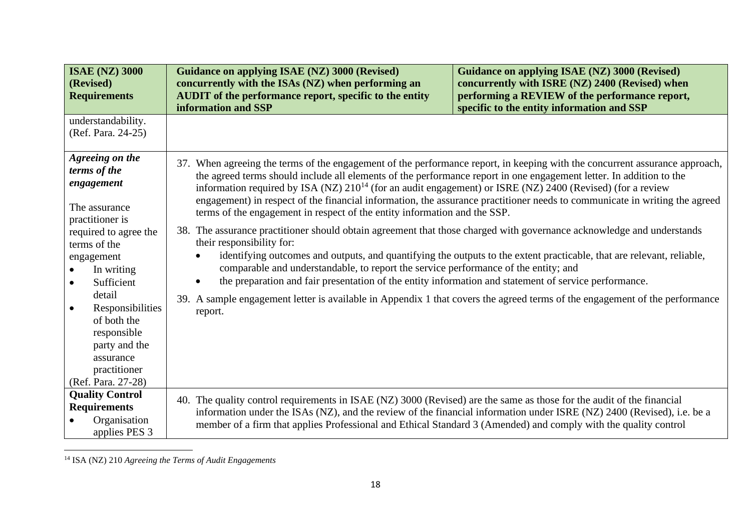| <b>ISAE (NZ) 3000</b><br>(Revised)<br><b>Requirements</b>                                                                                                                                                                                                                                                                      | <b>Guidance on applying ISAE (NZ) 3000 (Revised)</b><br>concurrently with the ISAs (NZ) when performing an<br><b>AUDIT</b> of the performance report, specific to the entity<br>information and SSP                                                                                                                                                                                                                                                                                                                                                                                                                                                                                                                                                                                                                                                                                                                                                  | Guidance on applying ISAE (NZ) 3000 (Revised)<br>concurrently with ISRE (NZ) 2400 (Revised) when<br>performing a REVIEW of the performance report,<br>specific to the entity information and SSP                                                    |
|--------------------------------------------------------------------------------------------------------------------------------------------------------------------------------------------------------------------------------------------------------------------------------------------------------------------------------|------------------------------------------------------------------------------------------------------------------------------------------------------------------------------------------------------------------------------------------------------------------------------------------------------------------------------------------------------------------------------------------------------------------------------------------------------------------------------------------------------------------------------------------------------------------------------------------------------------------------------------------------------------------------------------------------------------------------------------------------------------------------------------------------------------------------------------------------------------------------------------------------------------------------------------------------------|-----------------------------------------------------------------------------------------------------------------------------------------------------------------------------------------------------------------------------------------------------|
| understandability.<br>(Ref. Para. 24-25)                                                                                                                                                                                                                                                                                       |                                                                                                                                                                                                                                                                                                                                                                                                                                                                                                                                                                                                                                                                                                                                                                                                                                                                                                                                                      |                                                                                                                                                                                                                                                     |
| Agreeing on the<br>terms of the<br>engagement<br>The assurance<br>practitioner is<br>required to agree the<br>terms of the<br>engagement<br>In writing<br>Sufficient<br>$\bullet$<br>detail<br>Responsibilities<br>$\bullet$<br>of both the<br>responsible<br>party and the<br>assurance<br>practitioner<br>(Ref. Para. 27-28) | 37. When agreeing the terms of the engagement of the performance report, in keeping with the concurrent assurance approach,<br>the agreed terms should include all elements of the performance report in one engagement letter. In addition to the<br>information required by ISA (NZ) $210^{14}$ (for an audit engagement) or ISRE (NZ) $2400$ (Revised) (for a review<br>terms of the engagement in respect of the entity information and the SSP.<br>38. The assurance practitioner should obtain agreement that those charged with governance acknowledge and understands<br>their responsibility for:<br>comparable and understandable, to report the service performance of the entity; and<br>the preparation and fair presentation of the entity information and statement of service performance.<br>39. A sample engagement letter is available in Appendix 1 that covers the agreed terms of the engagement of the performance<br>report. | engagement) in respect of the financial information, the assurance practitioner needs to communicate in writing the agreed<br>identifying outcomes and outputs, and quantifying the outputs to the extent practicable, that are relevant, reliable, |
| <b>Quality Control</b><br><b>Requirements</b><br>Organisation<br>applies PES 3                                                                                                                                                                                                                                                 | 40. The quality control requirements in ISAE (NZ) 3000 (Revised) are the same as those for the audit of the financial<br>member of a firm that applies Professional and Ethical Standard 3 (Amended) and comply with the quality control                                                                                                                                                                                                                                                                                                                                                                                                                                                                                                                                                                                                                                                                                                             | information under the ISAs (NZ), and the review of the financial information under ISRE (NZ) 2400 (Revised), i.e. be a                                                                                                                              |

<sup>14</sup> ISA (NZ) 210 *Agreeing the Terms of Audit Engagements*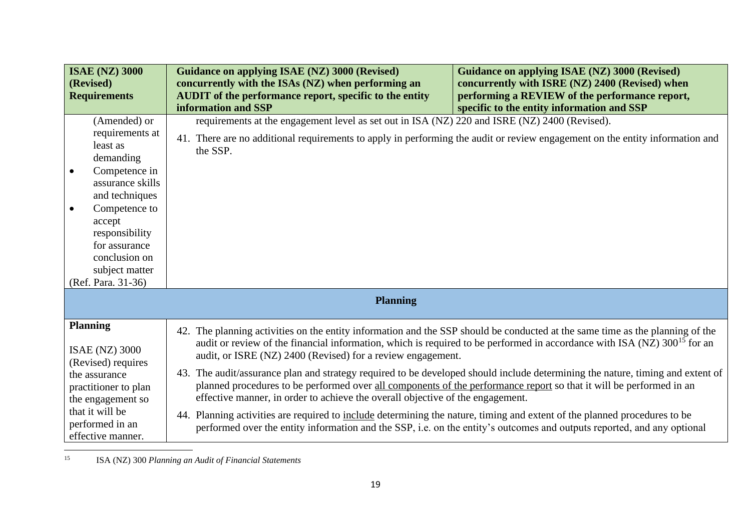| <b>ISAE (NZ) 3000</b><br>(Revised)<br><b>Requirements</b>                                                                                                                                                                              | <b>Guidance on applying ISAE (NZ) 3000 (Revised)</b><br>concurrently with the ISAs (NZ) when performing an<br>AUDIT of the performance report, specific to the entity<br>information and SSP                                              | <b>Guidance on applying ISAE (NZ) 3000 (Revised)</b><br>concurrently with ISRE (NZ) 2400 (Revised) when<br>performing a REVIEW of the performance report,<br>specific to the entity information and SSP |
|----------------------------------------------------------------------------------------------------------------------------------------------------------------------------------------------------------------------------------------|-------------------------------------------------------------------------------------------------------------------------------------------------------------------------------------------------------------------------------------------|---------------------------------------------------------------------------------------------------------------------------------------------------------------------------------------------------------|
| (Amended) or<br>requirements at<br>least as<br>demanding<br>Competence in<br>assurance skills<br>and techniques<br>Competence to<br>accept<br>responsibility<br>for assurance<br>conclusion on<br>subject matter<br>(Ref. Para. 31-36) | requirements at the engagement level as set out in ISA (NZ) 220 and ISRE (NZ) 2400 (Revised).<br>41. There are no additional requirements to apply in performing the audit or review engagement on the entity information and<br>the SSP. |                                                                                                                                                                                                         |
|                                                                                                                                                                                                                                        | <b>Planning</b>                                                                                                                                                                                                                           |                                                                                                                                                                                                         |
| <b>Planning</b><br><b>ISAE (NZ) 3000</b><br>(Revised) requires                                                                                                                                                                         | 42. The planning activities on the entity information and the SSP should be conducted at the same time as the planning of the<br>audit, or ISRE (NZ) 2400 (Revised) for a review engagement.                                              | audit or review of the financial information, which is required to be performed in accordance with ISA (NZ) 300 <sup>15</sup> for an                                                                    |
| the assurance<br>practitioner to plan<br>the engagement so                                                                                                                                                                             | planned procedures to be performed over all components of the performance report so that it will be performed in an<br>effective manner, in order to achieve the overall objective of the engagement.                                     | 43. The audit/assurance plan and strategy required to be developed should include determining the nature, timing and extent of                                                                          |
| that it will be<br>performed in an<br>effective manner.                                                                                                                                                                                | 44. Planning activities are required to include determining the nature, timing and extent of the planned procedures to be                                                                                                                 | performed over the entity information and the SSP, i.e. on the entity's outcomes and outputs reported, and any optional                                                                                 |

<sup>15</sup> ISA (NZ) 300 *Planning an Audit of Financial Statements*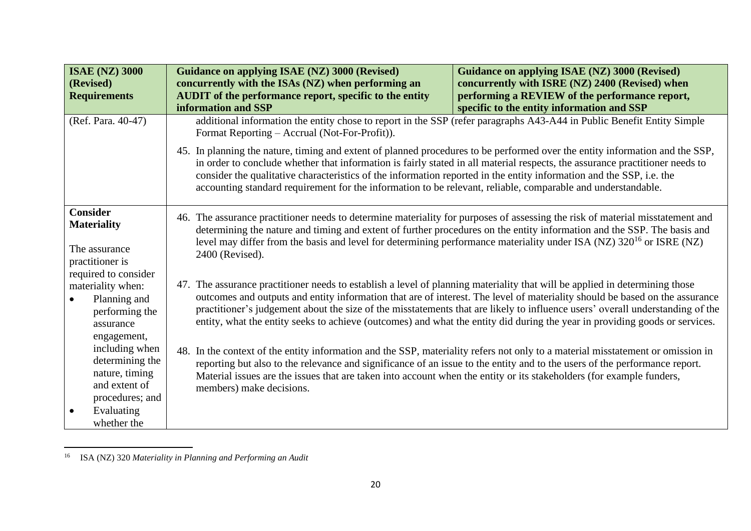| <b>ISAE (NZ) 3000</b><br>(Revised)<br><b>Requirements</b>                                         | <b>Guidance on applying ISAE (NZ) 3000 (Revised)</b><br>concurrently with the ISAs (NZ) when performing an<br><b>AUDIT</b> of the performance report, specific to the entity<br>information and SSP | Guidance on applying ISAE (NZ) 3000 (Revised)<br>concurrently with ISRE (NZ) 2400 (Revised) when<br>performing a REVIEW of the performance report,<br>specific to the entity information and SSP                                                                                                                                                                                                                                                                                                                                                                                                                                                                                                                                                                                                                                                                                                                                                                                                                                                                                                                                                                                                                                                                                                            |  |
|---------------------------------------------------------------------------------------------------|-----------------------------------------------------------------------------------------------------------------------------------------------------------------------------------------------------|-------------------------------------------------------------------------------------------------------------------------------------------------------------------------------------------------------------------------------------------------------------------------------------------------------------------------------------------------------------------------------------------------------------------------------------------------------------------------------------------------------------------------------------------------------------------------------------------------------------------------------------------------------------------------------------------------------------------------------------------------------------------------------------------------------------------------------------------------------------------------------------------------------------------------------------------------------------------------------------------------------------------------------------------------------------------------------------------------------------------------------------------------------------------------------------------------------------------------------------------------------------------------------------------------------------|--|
| (Ref. Para. 40-47)                                                                                | additional information the entity chose to report in the SSP (refer paragraphs A43-A44 in Public Benefit Entity Simple<br>Format Reporting – Accrual (Not-For-Profit)).                             |                                                                                                                                                                                                                                                                                                                                                                                                                                                                                                                                                                                                                                                                                                                                                                                                                                                                                                                                                                                                                                                                                                                                                                                                                                                                                                             |  |
|                                                                                                   |                                                                                                                                                                                                     | 45. In planning the nature, timing and extent of planned procedures to be performed over the entity information and the SSP,<br>in order to conclude whether that information is fairly stated in all material respects, the assurance practitioner needs to<br>consider the qualitative characteristics of the information reported in the entity information and the SSP, i.e. the<br>accounting standard requirement for the information to be relevant, reliable, comparable and understandable.                                                                                                                                                                                                                                                                                                                                                                                                                                                                                                                                                                                                                                                                                                                                                                                                        |  |
| <b>Consider</b><br><b>Materiality</b><br>The assurance<br>practitioner is<br>required to consider | 2400 (Revised).                                                                                                                                                                                     | 46. The assurance practitioner needs to determine materiality for purposes of assessing the risk of material misstatement and<br>determining the nature and timing and extent of further procedures on the entity information and the SSP. The basis and<br>level may differ from the basis and level for determining performance materiality under ISA (NZ) $320^{16}$ or ISRE (NZ)<br>47. The assurance practitioner needs to establish a level of planning materiality that will be applied in determining those<br>outcomes and outputs and entity information that are of interest. The level of materiality should be based on the assurance<br>practitioner's judgement about the size of the misstatements that are likely to influence users' overall understanding of the<br>entity, what the entity seeks to achieve (outcomes) and what the entity did during the year in providing goods or services.<br>48. In the context of the entity information and the SSP, materiality refers not only to a material misstatement or omission in<br>reporting but also to the relevance and significance of an issue to the entity and to the users of the performance report.<br>Material issues are the issues that are taken into account when the entity or its stakeholders (for example funders, |  |
| materiality when:<br>Planning and<br>performing the<br>assurance<br>engagement,                   |                                                                                                                                                                                                     |                                                                                                                                                                                                                                                                                                                                                                                                                                                                                                                                                                                                                                                                                                                                                                                                                                                                                                                                                                                                                                                                                                                                                                                                                                                                                                             |  |
| including when<br>determining the<br>nature, timing<br>and extent of<br>procedures; and           | members) make decisions.                                                                                                                                                                            |                                                                                                                                                                                                                                                                                                                                                                                                                                                                                                                                                                                                                                                                                                                                                                                                                                                                                                                                                                                                                                                                                                                                                                                                                                                                                                             |  |
| Evaluating<br>whether the                                                                         |                                                                                                                                                                                                     |                                                                                                                                                                                                                                                                                                                                                                                                                                                                                                                                                                                                                                                                                                                                                                                                                                                                                                                                                                                                                                                                                                                                                                                                                                                                                                             |  |

<sup>16</sup> ISA (NZ) 320 *Materiality in Planning and Performing an Audit*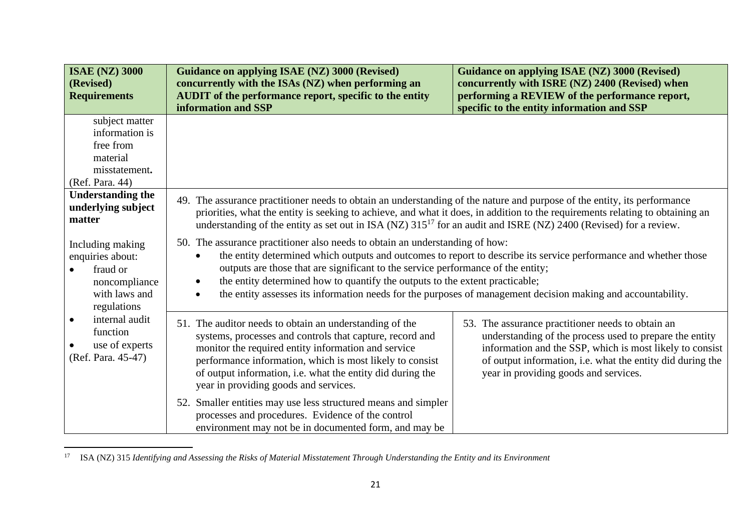| <b>ISAE (NZ) 3000</b><br>(Revised)<br><b>Requirements</b>                                         | <b>Guidance on applying ISAE (NZ) 3000 (Revised)</b><br>concurrently with the ISAs (NZ) when performing an<br><b>AUDIT</b> of the performance report, specific to the entity<br>information and SSP                                                                                                                                           | <b>Guidance on applying ISAE (NZ) 3000 (Revised)</b><br>concurrently with ISRE (NZ) 2400 (Revised) when<br>performing a REVIEW of the performance report,<br>specific to the entity information and SSP                                                                                                                                                                                                                                                                              |  |
|---------------------------------------------------------------------------------------------------|-----------------------------------------------------------------------------------------------------------------------------------------------------------------------------------------------------------------------------------------------------------------------------------------------------------------------------------------------|--------------------------------------------------------------------------------------------------------------------------------------------------------------------------------------------------------------------------------------------------------------------------------------------------------------------------------------------------------------------------------------------------------------------------------------------------------------------------------------|--|
| subject matter<br>information is<br>free from<br>material<br>misstatement.<br>(Ref. Para. 44)     |                                                                                                                                                                                                                                                                                                                                               |                                                                                                                                                                                                                                                                                                                                                                                                                                                                                      |  |
| <b>Understanding the</b><br>underlying subject<br>matter                                          | 49. The assurance practitioner needs to obtain an understanding of the nature and purpose of the entity, its performance<br>understanding of the entity as set out in ISA (NZ) $315^{17}$ for an audit and ISRE (NZ) 2400 (Revised) for a review.                                                                                             | priorities, what the entity is seeking to achieve, and what it does, in addition to the requirements relating to obtaining an                                                                                                                                                                                                                                                                                                                                                        |  |
| Including making<br>enquiries about:<br>fraud or<br>noncompliance<br>with laws and<br>regulations |                                                                                                                                                                                                                                                                                                                                               | 50. The assurance practitioner also needs to obtain an understanding of how:<br>the entity determined which outputs and outcomes to report to describe its service performance and whether those<br>outputs are those that are significant to the service performance of the entity;<br>the entity determined how to quantify the outputs to the extent practicable;<br>the entity assesses its information needs for the purposes of management decision making and accountability. |  |
| internal audit<br>$\bullet$<br>function<br>use of experts<br>(Ref. Para. 45-47)                   | 51. The auditor needs to obtain an understanding of the<br>systems, processes and controls that capture, record and<br>monitor the required entity information and service<br>performance information, which is most likely to consist<br>of output information, i.e. what the entity did during the<br>year in providing goods and services. | 53. The assurance practitioner needs to obtain an<br>understanding of the process used to prepare the entity<br>information and the SSP, which is most likely to consist<br>of output information, i.e. what the entity did during the<br>year in providing goods and services.                                                                                                                                                                                                      |  |
|                                                                                                   | 52. Smaller entities may use less structured means and simpler<br>processes and procedures. Evidence of the control<br>environment may not be in documented form, and may be                                                                                                                                                                  |                                                                                                                                                                                                                                                                                                                                                                                                                                                                                      |  |

<sup>17</sup> ISA (NZ) 315 *Identifying and Assessing the Risks of Material Misstatement Through Understanding the Entity and its Environment*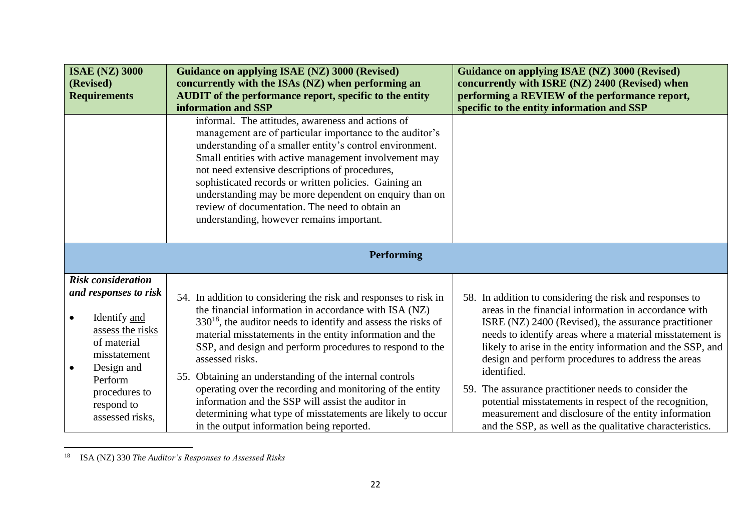| <b>ISAE (NZ) 3000</b><br>(Revised)<br><b>Requirements</b>                                                                                        | Guidance on applying ISAE (NZ) 3000 (Revised)<br>concurrently with the ISAs (NZ) when performing an<br><b>AUDIT</b> of the performance report, specific to the entity<br>information and SSP<br>informal. The attitudes, awareness and actions of<br>management are of particular importance to the auditor's<br>understanding of a smaller entity's control environment.<br>Small entities with active management involvement may<br>not need extensive descriptions of procedures,<br>sophisticated records or written policies. Gaining an<br>understanding may be more dependent on enquiry than on<br>review of documentation. The need to obtain an<br>understanding, however remains important. | Guidance on applying ISAE (NZ) 3000 (Revised)<br>concurrently with ISRE (NZ) 2400 (Revised) when<br>performing a REVIEW of the performance report,<br>specific to the entity information and SSP                                                                                                                                                                         |
|--------------------------------------------------------------------------------------------------------------------------------------------------|--------------------------------------------------------------------------------------------------------------------------------------------------------------------------------------------------------------------------------------------------------------------------------------------------------------------------------------------------------------------------------------------------------------------------------------------------------------------------------------------------------------------------------------------------------------------------------------------------------------------------------------------------------------------------------------------------------|--------------------------------------------------------------------------------------------------------------------------------------------------------------------------------------------------------------------------------------------------------------------------------------------------------------------------------------------------------------------------|
|                                                                                                                                                  | <b>Performing</b>                                                                                                                                                                                                                                                                                                                                                                                                                                                                                                                                                                                                                                                                                      |                                                                                                                                                                                                                                                                                                                                                                          |
| <b>Risk consideration</b><br>and responses to risk<br>Identify and<br>$\bullet$<br>assess the risks<br>of material<br>misstatement<br>Design and | 54. In addition to considering the risk and responses to risk in<br>the financial information in accordance with ISA (NZ)<br>$330^{18}$ , the auditor needs to identify and assess the risks of<br>material misstatements in the entity information and the<br>SSP, and design and perform procedures to respond to the<br>assessed risks.<br>55. Obtaining an understanding of the internal controls                                                                                                                                                                                                                                                                                                  | 58. In addition to considering the risk and responses to<br>areas in the financial information in accordance with<br>ISRE (NZ) 2400 (Revised), the assurance practitioner<br>needs to identify areas where a material misstatement is<br>likely to arise in the entity information and the SSP, and<br>design and perform procedures to address the areas<br>identified. |
| Perform<br>procedures to<br>respond to<br>assessed risks,                                                                                        | operating over the recording and monitoring of the entity<br>information and the SSP will assist the auditor in<br>determining what type of misstatements are likely to occur<br>in the output information being reported.                                                                                                                                                                                                                                                                                                                                                                                                                                                                             | 59. The assurance practitioner needs to consider the<br>potential misstatements in respect of the recognition,<br>measurement and disclosure of the entity information<br>and the SSP, as well as the qualitative characteristics.                                                                                                                                       |

<sup>18</sup> ISA (NZ) 330 *The Auditor's Responses to Assessed Risks*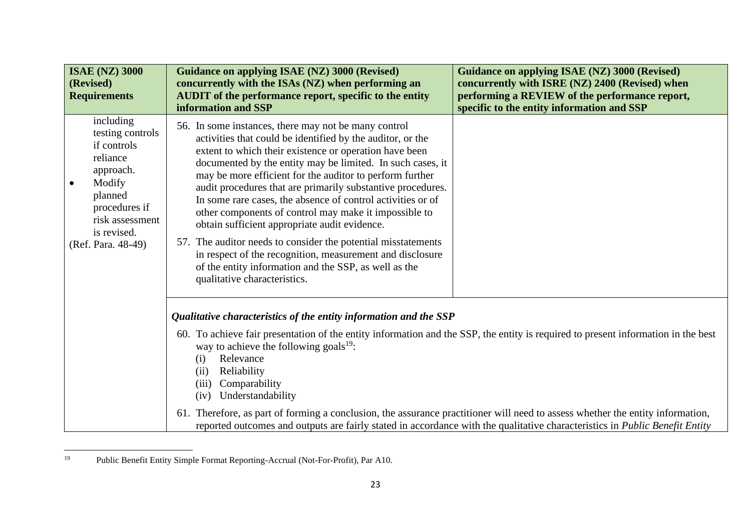| <b>ISAE (NZ) 3000</b><br>(Revised)<br><b>Requirements</b>                                                                                                           | Guidance on applying ISAE (NZ) 3000 (Revised)<br>concurrently with the ISAs (NZ) when performing an<br>AUDIT of the performance report, specific to the entity<br>information and SSP                                                                                                                                                                                                                                                                                                                                                                                                                                                                                                                                                                                 | Guidance on applying ISAE (NZ) 3000 (Revised)<br>concurrently with ISRE (NZ) 2400 (Revised) when<br>performing a REVIEW of the performance report,<br>specific to the entity information and SSP |
|---------------------------------------------------------------------------------------------------------------------------------------------------------------------|-----------------------------------------------------------------------------------------------------------------------------------------------------------------------------------------------------------------------------------------------------------------------------------------------------------------------------------------------------------------------------------------------------------------------------------------------------------------------------------------------------------------------------------------------------------------------------------------------------------------------------------------------------------------------------------------------------------------------------------------------------------------------|--------------------------------------------------------------------------------------------------------------------------------------------------------------------------------------------------|
| including<br>testing controls<br>if controls<br>reliance<br>approach.<br>Modify<br>planned<br>procedures if<br>risk assessment<br>is revised.<br>(Ref. Para. 48-49) | 56. In some instances, there may not be many control<br>activities that could be identified by the auditor, or the<br>extent to which their existence or operation have been<br>documented by the entity may be limited. In such cases, it<br>may be more efficient for the auditor to perform further<br>audit procedures that are primarily substantive procedures.<br>In some rare cases, the absence of control activities or of<br>other components of control may make it impossible to<br>obtain sufficient appropriate audit evidence.<br>57. The auditor needs to consider the potential misstatements<br>in respect of the recognition, measurement and disclosure<br>of the entity information and the SSP, as well as the<br>qualitative characteristics. |                                                                                                                                                                                                  |
|                                                                                                                                                                     | Qualitative characteristics of the entity information and the SSP                                                                                                                                                                                                                                                                                                                                                                                                                                                                                                                                                                                                                                                                                                     |                                                                                                                                                                                                  |
|                                                                                                                                                                     | 60. To achieve fair presentation of the entity information and the SSP, the entity is required to present information in the best<br>way to achieve the following goals $^{19}$ .<br>Relevance<br>(i)<br>Reliability<br>(ii)<br>Comparability<br>(iii)<br>Understandability<br>(iv)                                                                                                                                                                                                                                                                                                                                                                                                                                                                                   |                                                                                                                                                                                                  |
|                                                                                                                                                                     | 61. Therefore, as part of forming a conclusion, the assurance practitioner will need to assess whether the entity information,                                                                                                                                                                                                                                                                                                                                                                                                                                                                                                                                                                                                                                        | reported outcomes and outputs are fairly stated in accordance with the qualitative characteristics in <i>Public Benefit Entity</i>                                                               |

<sup>19</sup> Public Benefit Entity Simple Format Reporting-Accrual (Not-For-Profit), Par A10.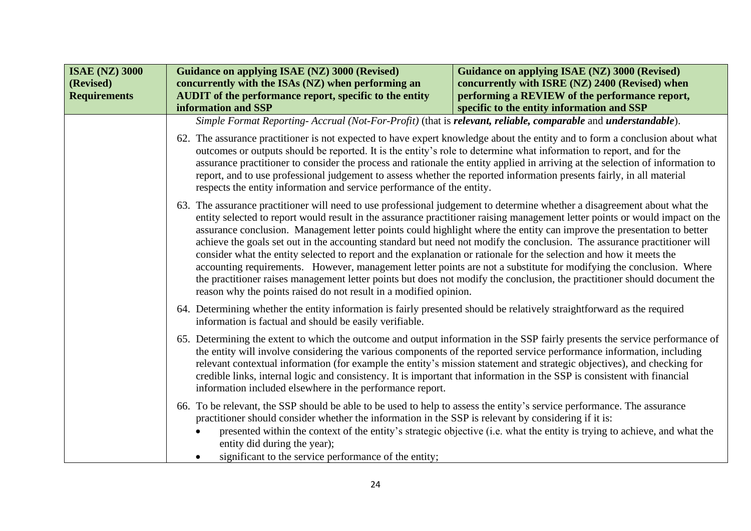| <b>ISAE (NZ) 3000</b><br>(Revised)<br><b>Requirements</b> | Guidance on applying ISAE (NZ) 3000 (Revised)<br>concurrently with the ISAs (NZ) when performing an<br>AUDIT of the performance report, specific to the entity<br>information and SSP                                                                                                                                                                                                                                                                                                                                                                                     | Guidance on applying ISAE (NZ) 3000 (Revised)<br>concurrently with ISRE (NZ) 2400 (Revised) when<br>performing a REVIEW of the performance report,<br>specific to the entity information and SSP                                                                                                                                                                                                                                                                                                                                                                                                                                                                                                                                                                                                                                                                                                                                                                |  |
|-----------------------------------------------------------|---------------------------------------------------------------------------------------------------------------------------------------------------------------------------------------------------------------------------------------------------------------------------------------------------------------------------------------------------------------------------------------------------------------------------------------------------------------------------------------------------------------------------------------------------------------------------|-----------------------------------------------------------------------------------------------------------------------------------------------------------------------------------------------------------------------------------------------------------------------------------------------------------------------------------------------------------------------------------------------------------------------------------------------------------------------------------------------------------------------------------------------------------------------------------------------------------------------------------------------------------------------------------------------------------------------------------------------------------------------------------------------------------------------------------------------------------------------------------------------------------------------------------------------------------------|--|
|                                                           | Simple Format Reporting-Accrual (Not-For-Profit) (that is relevant, reliable, comparable and understandable).                                                                                                                                                                                                                                                                                                                                                                                                                                                             |                                                                                                                                                                                                                                                                                                                                                                                                                                                                                                                                                                                                                                                                                                                                                                                                                                                                                                                                                                 |  |
|                                                           |                                                                                                                                                                                                                                                                                                                                                                                                                                                                                                                                                                           | 62. The assurance practitioner is not expected to have expert knowledge about the entity and to form a conclusion about what<br>outcomes or outputs should be reported. It is the entity's role to determine what information to report, and for the<br>assurance practitioner to consider the process and rationale the entity applied in arriving at the selection of information to<br>report, and to use professional judgement to assess whether the reported information presents fairly, in all material<br>respects the entity information and service performance of the entity.                                                                                                                                                                                                                                                                                                                                                                       |  |
|                                                           |                                                                                                                                                                                                                                                                                                                                                                                                                                                                                                                                                                           | 63. The assurance practitioner will need to use professional judgement to determine whether a disagreement about what the<br>entity selected to report would result in the assurance practitioner raising management letter points or would impact on the<br>assurance conclusion. Management letter points could highlight where the entity can improve the presentation to better<br>achieve the goals set out in the accounting standard but need not modify the conclusion. The assurance practitioner will<br>consider what the entity selected to report and the explanation or rationale for the selection and how it meets the<br>accounting requirements. However, management letter points are not a substitute for modifying the conclusion. Where<br>the practitioner raises management letter points but does not modify the conclusion, the practitioner should document the<br>reason why the points raised do not result in a modified opinion. |  |
|                                                           | information is factual and should be easily verifiable.                                                                                                                                                                                                                                                                                                                                                                                                                                                                                                                   | 64. Determining whether the entity information is fairly presented should be relatively straightforward as the required                                                                                                                                                                                                                                                                                                                                                                                                                                                                                                                                                                                                                                                                                                                                                                                                                                         |  |
|                                                           | 65. Determining the extent to which the outcome and output information in the SSP fairly presents the service performance of<br>the entity will involve considering the various components of the reported service performance information, including<br>relevant contextual information (for example the entity's mission statement and strategic objectives), and checking for<br>credible links, internal logic and consistency. It is important that information in the SSP is consistent with financial<br>information included elsewhere in the performance report. |                                                                                                                                                                                                                                                                                                                                                                                                                                                                                                                                                                                                                                                                                                                                                                                                                                                                                                                                                                 |  |
|                                                           | 66. To be relevant, the SSP should be able to be used to help to assess the entity's service performance. The assurance<br>practitioner should consider whether the information in the SSP is relevant by considering if it is:<br>entity did during the year);<br>significant to the service performance of the entity;                                                                                                                                                                                                                                                  | presented within the context of the entity's strategic objective (i.e. what the entity is trying to achieve, and what the                                                                                                                                                                                                                                                                                                                                                                                                                                                                                                                                                                                                                                                                                                                                                                                                                                       |  |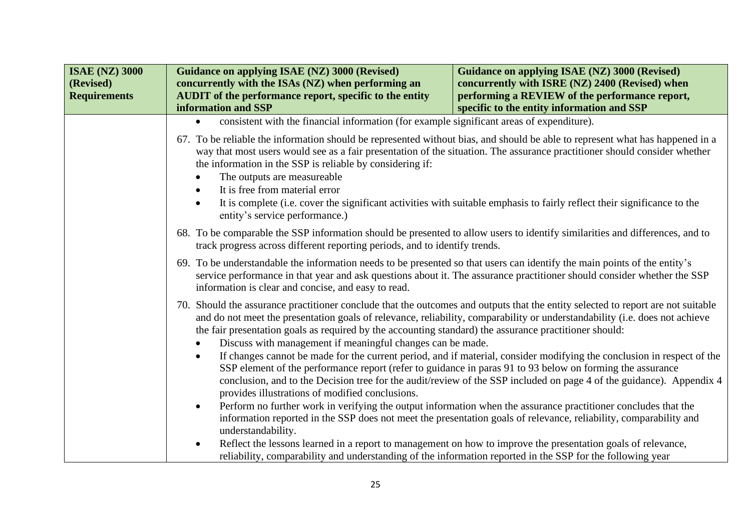| <b>ISAE (NZ) 3000</b><br>(Revised)<br><b>Requirements</b> | Guidance on applying ISAE (NZ) 3000 (Revised)<br>concurrently with the ISAs (NZ) when performing an<br><b>AUDIT</b> of the performance report, specific to the entity<br>information and SSP                                                                                                                | Guidance on applying ISAE (NZ) 3000 (Revised)<br>concurrently with ISRE (NZ) 2400 (Revised) when<br>performing a REVIEW of the performance report,<br>specific to the entity information and SSP                                                                                                                                                                                                                                    |  |
|-----------------------------------------------------------|-------------------------------------------------------------------------------------------------------------------------------------------------------------------------------------------------------------------------------------------------------------------------------------------------------------|-------------------------------------------------------------------------------------------------------------------------------------------------------------------------------------------------------------------------------------------------------------------------------------------------------------------------------------------------------------------------------------------------------------------------------------|--|
|                                                           | consistent with the financial information (for example significant areas of expenditure).                                                                                                                                                                                                                   |                                                                                                                                                                                                                                                                                                                                                                                                                                     |  |
|                                                           | the information in the SSP is reliable by considering if:<br>The outputs are measureable<br>It is free from material error<br>$\bullet$<br>entity's service performance.)                                                                                                                                   | 67. To be reliable the information should be represented without bias, and should be able to represent what has happened in a<br>way that most users would see as a fair presentation of the situation. The assurance practitioner should consider whether<br>It is complete (i.e. cover the significant activities with suitable emphasis to fairly reflect their significance to the                                              |  |
|                                                           | 68. To be comparable the SSP information should be presented to allow users to identify similarities and differences, and to<br>track progress across different reporting periods, and to identify trends.                                                                                                  |                                                                                                                                                                                                                                                                                                                                                                                                                                     |  |
|                                                           | 69. To be understandable the information needs to be presented so that users can identify the main points of the entity's<br>service performance in that year and ask questions about it. The assurance practitioner should consider whether the SSP<br>information is clear and concise, and easy to read. |                                                                                                                                                                                                                                                                                                                                                                                                                                     |  |
|                                                           | 70.                                                                                                                                                                                                                                                                                                         | Should the assurance practitioner conclude that the outcomes and outputs that the entity selected to report are not suitable<br>and do not meet the presentation goals of relevance, reliability, comparability or understandability (i.e. does not achieve<br>the fair presentation goals as required by the accounting standard) the assurance practitioner should:<br>Discuss with management if meaningful changes can be made. |  |
|                                                           | provides illustrations of modified conclusions.                                                                                                                                                                                                                                                             | If changes cannot be made for the current period, and if material, consider modifying the conclusion in respect of the<br>SSP element of the performance report (refer to guidance in paras 91 to 93 below on forming the assurance<br>conclusion, and to the Decision tree for the audit/review of the SSP included on page 4 of the guidance). Appendix 4                                                                         |  |
|                                                           | $\bullet$<br>understandability.                                                                                                                                                                                                                                                                             | Perform no further work in verifying the output information when the assurance practitioner concludes that the<br>information reported in the SSP does not meet the presentation goals of relevance, reliability, comparability and                                                                                                                                                                                                 |  |
|                                                           | Reflect the lessons learned in a report to management on how to improve the presentation goals of relevance,<br>$\bullet$<br>reliability, comparability and understanding of the information reported in the SSP for the following year                                                                     |                                                                                                                                                                                                                                                                                                                                                                                                                                     |  |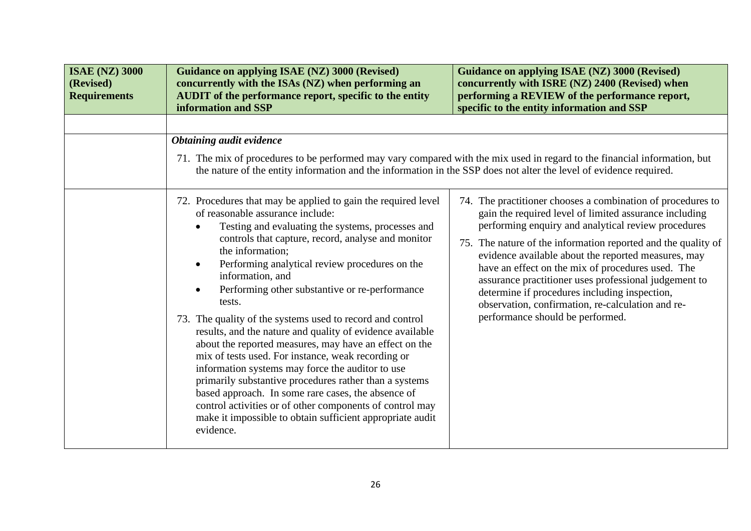| <b>ISAE (NZ) 3000</b><br>(Revised)<br><b>Requirements</b> | <b>Guidance on applying ISAE (NZ) 3000 (Revised)</b><br>concurrently with the ISAs (NZ) when performing an<br>AUDIT of the performance report, specific to the entity<br>information and SSP                                                                                                                                                                                                                                                                                                                                                                                                                                                                                                                                                                                                                                                                                                                                                                                                                     | Guidance on applying ISAE (NZ) 3000 (Revised)<br>concurrently with ISRE (NZ) 2400 (Revised) when<br>performing a REVIEW of the performance report,<br>specific to the entity information and SSP                                                                                                                                                                                                                                                                                                                                                             |
|-----------------------------------------------------------|------------------------------------------------------------------------------------------------------------------------------------------------------------------------------------------------------------------------------------------------------------------------------------------------------------------------------------------------------------------------------------------------------------------------------------------------------------------------------------------------------------------------------------------------------------------------------------------------------------------------------------------------------------------------------------------------------------------------------------------------------------------------------------------------------------------------------------------------------------------------------------------------------------------------------------------------------------------------------------------------------------------|--------------------------------------------------------------------------------------------------------------------------------------------------------------------------------------------------------------------------------------------------------------------------------------------------------------------------------------------------------------------------------------------------------------------------------------------------------------------------------------------------------------------------------------------------------------|
|                                                           | <b>Obtaining audit evidence</b><br>71. The mix of procedures to be performed may vary compared with the mix used in regard to the financial information, but<br>the nature of the entity information and the information in the SSP does not alter the level of evidence required.<br>72. Procedures that may be applied to gain the required level<br>of reasonable assurance include:<br>Testing and evaluating the systems, processes and<br>controls that capture, record, analyse and monitor<br>the information;<br>Performing analytical review procedures on the<br>information, and<br>Performing other substantive or re-performance<br>tests.<br>73. The quality of the systems used to record and control<br>results, and the nature and quality of evidence available<br>about the reported measures, may have an effect on the<br>mix of tests used. For instance, weak recording or<br>information systems may force the auditor to use<br>primarily substantive procedures rather than a systems | 74. The practitioner chooses a combination of procedures to<br>gain the required level of limited assurance including<br>performing enquiry and analytical review procedures<br>75. The nature of the information reported and the quality of<br>evidence available about the reported measures, may<br>have an effect on the mix of procedures used. The<br>assurance practitioner uses professional judgement to<br>determine if procedures including inspection,<br>observation, confirmation, re-calculation and re-<br>performance should be performed. |
|                                                           | based approach. In some rare cases, the absence of<br>control activities or of other components of control may<br>make it impossible to obtain sufficient appropriate audit<br>evidence.                                                                                                                                                                                                                                                                                                                                                                                                                                                                                                                                                                                                                                                                                                                                                                                                                         |                                                                                                                                                                                                                                                                                                                                                                                                                                                                                                                                                              |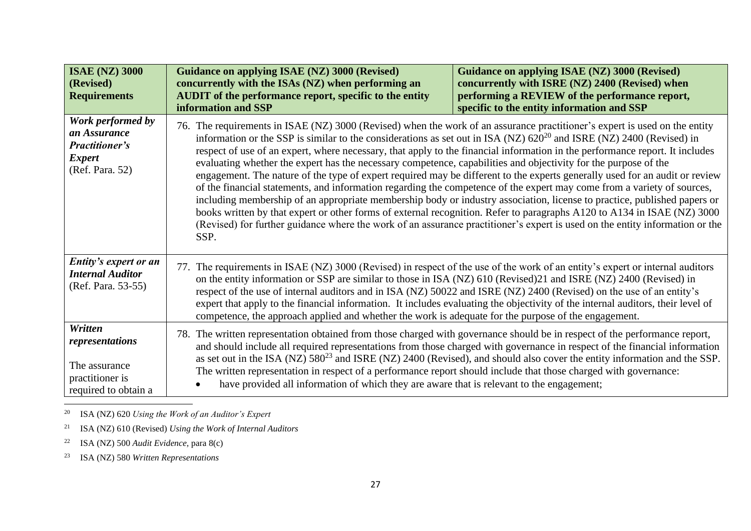| <b>ISAE (NZ) 3000</b><br>(Revised)<br><b>Requirements</b>                                      | <b>Guidance on applying ISAE (NZ) 3000 (Revised)</b><br>concurrently with the ISAs (NZ) when performing an<br><b>AUDIT</b> of the performance report, specific to the entity<br>information and SSP                                                                                                                                                                                                                                                                                                                                                                                                                                                                                                                                                                                                                                                                                                                                                                                                                                                                                                                                                                 | Guidance on applying ISAE (NZ) 3000 (Revised)<br>concurrently with ISRE (NZ) 2400 (Revised) when<br>performing a REVIEW of the performance report,<br>specific to the entity information and SSP |
|------------------------------------------------------------------------------------------------|---------------------------------------------------------------------------------------------------------------------------------------------------------------------------------------------------------------------------------------------------------------------------------------------------------------------------------------------------------------------------------------------------------------------------------------------------------------------------------------------------------------------------------------------------------------------------------------------------------------------------------------------------------------------------------------------------------------------------------------------------------------------------------------------------------------------------------------------------------------------------------------------------------------------------------------------------------------------------------------------------------------------------------------------------------------------------------------------------------------------------------------------------------------------|--------------------------------------------------------------------------------------------------------------------------------------------------------------------------------------------------|
| Work performed by<br>an Assurance<br><b>Practitioner's</b><br><b>Expert</b><br>(Ref. Para. 52) | 76. The requirements in ISAE (NZ) 3000 (Revised) when the work of an assurance practitioner's expert is used on the entity<br>information or the SSP is similar to the considerations as set out in ISA (NZ) $620^{20}$ and ISRE (NZ) 2400 (Revised) in<br>respect of use of an expert, where necessary, that apply to the financial information in the performance report. It includes<br>evaluating whether the expert has the necessary competence, capabilities and objectivity for the purpose of the<br>engagement. The nature of the type of expert required may be different to the experts generally used for an audit or review<br>of the financial statements, and information regarding the competence of the expert may come from a variety of sources,<br>including membership of an appropriate membership body or industry association, license to practice, published papers or<br>books written by that expert or other forms of external recognition. Refer to paragraphs A120 to A134 in ISAE (NZ) 3000<br>(Revised) for further guidance where the work of an assurance practitioner's expert is used on the entity information or the<br>SSP. |                                                                                                                                                                                                  |
| Entity's expert or an<br><b>Internal Auditor</b><br>(Ref. Para. 53-55)                         | 77. The requirements in ISAE (NZ) 3000 (Revised) in respect of the use of the work of an entity's expert or internal auditors<br>on the entity information or SSP are similar to those in ISA (NZ) 610 (Revised)21 and ISRE (NZ) 2400 (Revised) in<br>respect of the use of internal auditors and in ISA (NZ) 50022 and ISRE (NZ) 2400 (Revised) on the use of an entity's<br>expert that apply to the financial information. It includes evaluating the objectivity of the internal auditors, their level of<br>competence, the approach applied and whether the work is adequate for the purpose of the engagement.                                                                                                                                                                                                                                                                                                                                                                                                                                                                                                                                               |                                                                                                                                                                                                  |
| Written<br>representations<br>The assurance<br>practitioner is<br>required to obtain a         | The written representation obtained from those charged with governance should be in respect of the performance report,<br>78.<br>and should include all required representations from those charged with governance in respect of the financial information<br>as set out in the ISA (NZ) 580 <sup>23</sup> and ISRE (NZ) 2400 (Revised), and should also cover the entity information and the SSP.<br>The written representation in respect of a performance report should include that those charged with governance:<br>have provided all information of which they are aware that is relevant to the engagement;                                                                                                                                                                                                                                                                                                                                                                                                                                                                                                                                                |                                                                                                                                                                                                  |

<sup>20</sup> ISA (NZ) 620 *Using the Work of an Auditor's Expert*

<sup>21</sup> ISA (NZ) 610 (Revised) *Using the Work of Internal Auditors*

<sup>22</sup> ISA (NZ) 500 *Audit Evidence,* para 8(c)

<sup>23</sup> ISA (NZ) 580 *Written Representations*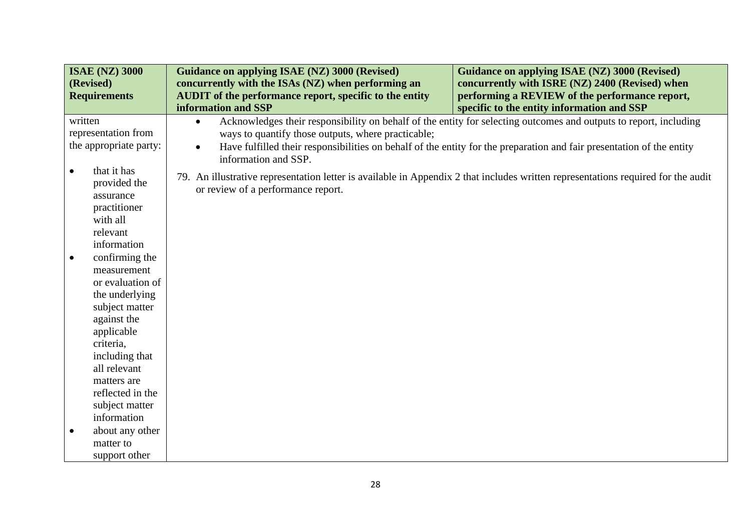|           | <b>ISAE (NZ) 3000</b>                                                                                                                                                                                                                 | Guidance on applying ISAE (NZ) 3000 (Revised)                                                                                                                           | Guidance on applying ISAE (NZ) 3000 (Revised)                                                                                                                                                                                              |  |
|-----------|---------------------------------------------------------------------------------------------------------------------------------------------------------------------------------------------------------------------------------------|-------------------------------------------------------------------------------------------------------------------------------------------------------------------------|--------------------------------------------------------------------------------------------------------------------------------------------------------------------------------------------------------------------------------------------|--|
|           | (Revised)<br><b>Requirements</b>                                                                                                                                                                                                      | concurrently with the ISAs (NZ) when performing an<br><b>AUDIT</b> of the performance report, specific to the entity                                                    | concurrently with ISRE (NZ) 2400 (Revised) when<br>performing a REVIEW of the performance report,                                                                                                                                          |  |
|           |                                                                                                                                                                                                                                       | information and SSP                                                                                                                                                     | specific to the entity information and SSP                                                                                                                                                                                                 |  |
| written   | representation from<br>the appropriate party:                                                                                                                                                                                         | $\bullet$<br>ways to quantify those outputs, where practicable;<br>$\bullet$<br>information and SSP.                                                                    | Acknowledges their responsibility on behalf of the entity for selecting outcomes and outputs to report, including<br>Have fulfilled their responsibilities on behalf of the entity for the preparation and fair presentation of the entity |  |
| $\bullet$ | that it has<br>provided the<br>assurance<br>practitioner<br>with all<br>relevant<br>information                                                                                                                                       | 79. An illustrative representation letter is available in Appendix 2 that includes written representations required for the audit<br>or review of a performance report. |                                                                                                                                                                                                                                            |  |
| $\bullet$ | confirming the<br>measurement<br>or evaluation of<br>the underlying<br>subject matter<br>against the<br>applicable<br>criteria,<br>including that<br>all relevant<br>matters are<br>reflected in the<br>subject matter<br>information |                                                                                                                                                                         |                                                                                                                                                                                                                                            |  |
| $\bullet$ | about any other<br>matter to<br>support other                                                                                                                                                                                         |                                                                                                                                                                         |                                                                                                                                                                                                                                            |  |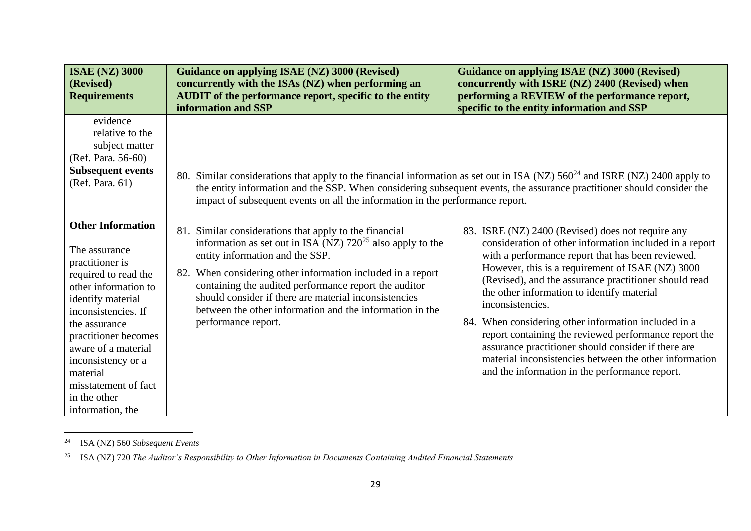| <b>ISAE (NZ) 3000</b><br>(Revised)<br><b>Requirements</b>                                                                                                                                                                                                                                                              | <b>Guidance on applying ISAE (NZ) 3000 (Revised)</b><br>concurrently with the ISAs (NZ) when performing an<br>AUDIT of the performance report, specific to the entity<br>information and SSP                                                                                                                                                                                                                                     | <b>Guidance on applying ISAE (NZ) 3000 (Revised)</b><br>concurrently with ISRE (NZ) 2400 (Revised) when<br>performing a REVIEW of the performance report,<br>specific to the entity information and SSP                                                                                                                                                                                                                                                                                                                                                                                                                              |
|------------------------------------------------------------------------------------------------------------------------------------------------------------------------------------------------------------------------------------------------------------------------------------------------------------------------|----------------------------------------------------------------------------------------------------------------------------------------------------------------------------------------------------------------------------------------------------------------------------------------------------------------------------------------------------------------------------------------------------------------------------------|--------------------------------------------------------------------------------------------------------------------------------------------------------------------------------------------------------------------------------------------------------------------------------------------------------------------------------------------------------------------------------------------------------------------------------------------------------------------------------------------------------------------------------------------------------------------------------------------------------------------------------------|
| evidence<br>relative to the<br>subject matter<br>(Ref. Para. 56-60)<br><b>Subsequent events</b><br>(Ref. Para. 61)                                                                                                                                                                                                     | 80.<br>impact of subsequent events on all the information in the performance report.                                                                                                                                                                                                                                                                                                                                             | Similar considerations that apply to the financial information as set out in ISA (NZ) $560^{24}$ and ISRE (NZ) 2400 apply to<br>the entity information and the SSP. When considering subsequent events, the assurance practitioner should consider the                                                                                                                                                                                                                                                                                                                                                                               |
| <b>Other Information</b><br>The assurance<br>practitioner is<br>required to read the<br>other information to<br>identify material<br>inconsistencies. If<br>the assurance<br>practitioner becomes<br>aware of a material<br>inconsistency or a<br>material<br>misstatement of fact<br>in the other<br>information, the | 81. Similar considerations that apply to the financial<br>information as set out in ISA (NZ) $720^{25}$ also apply to the<br>entity information and the SSP.<br>82. When considering other information included in a report<br>containing the audited performance report the auditor<br>should consider if there are material inconsistencies<br>between the other information and the information in the<br>performance report. | 83. ISRE (NZ) 2400 (Revised) does not require any<br>consideration of other information included in a report<br>with a performance report that has been reviewed.<br>However, this is a requirement of ISAE (NZ) 3000<br>(Revised), and the assurance practitioner should read<br>the other information to identify material<br>inconsistencies.<br>84. When considering other information included in a<br>report containing the reviewed performance report the<br>assurance practitioner should consider if there are<br>material inconsistencies between the other information<br>and the information in the performance report. |

<sup>24</sup> ISA (NZ) 560 *Subsequent Events*

<sup>25</sup> ISA (NZ) 720 *The Auditor's Responsibility to Other Information in Documents Containing Audited Financial Statements*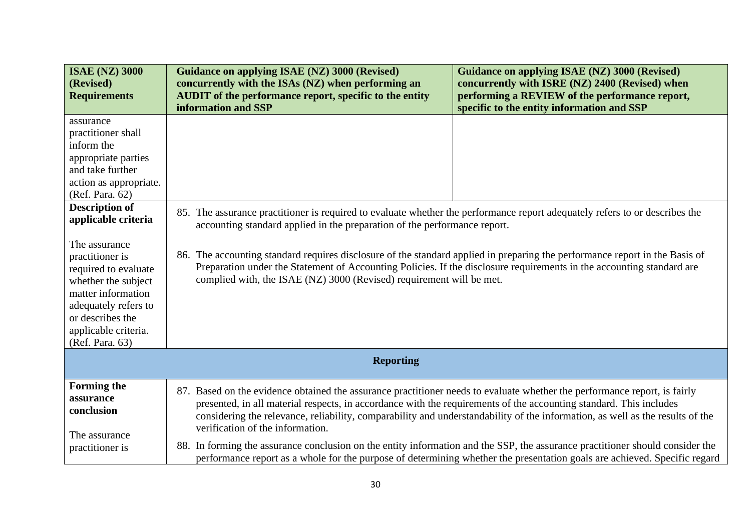| <b>ISAE (NZ) 3000</b><br>(Revised)<br><b>Requirements</b>                                                                                                                                                                                                                                                                                                                             | <b>Guidance on applying ISAE (NZ) 3000 (Revised)</b><br>concurrently with the ISAs (NZ) when performing an<br><b>AUDIT</b> of the performance report, specific to the entity<br>information and SSP                                                                                                                                                                                                                                                                                                                                         | Guidance on applying ISAE (NZ) 3000 (Revised)<br>concurrently with ISRE (NZ) 2400 (Revised) when<br>performing a REVIEW of the performance report,<br>specific to the entity information and SSP |
|---------------------------------------------------------------------------------------------------------------------------------------------------------------------------------------------------------------------------------------------------------------------------------------------------------------------------------------------------------------------------------------|---------------------------------------------------------------------------------------------------------------------------------------------------------------------------------------------------------------------------------------------------------------------------------------------------------------------------------------------------------------------------------------------------------------------------------------------------------------------------------------------------------------------------------------------|--------------------------------------------------------------------------------------------------------------------------------------------------------------------------------------------------|
| assurance<br>practitioner shall<br>inform the<br>appropriate parties<br>and take further<br>action as appropriate.<br>(Ref. Para. 62)<br><b>Description of</b><br>applicable criteria<br>The assurance<br>practitioner is<br>required to evaluate<br>whether the subject<br>matter information<br>adequately refers to<br>or describes the<br>applicable criteria.<br>(Ref. Para. 63) | 85. The assurance practitioner is required to evaluate whether the performance report adequately refers to or describes the<br>accounting standard applied in the preparation of the performance report.<br>The accounting standard requires disclosure of the standard applied in preparing the performance report in the Basis of<br>86.<br>Preparation under the Statement of Accounting Policies. If the disclosure requirements in the accounting standard are<br>complied with, the ISAE (NZ) 3000 (Revised) requirement will be met. |                                                                                                                                                                                                  |
|                                                                                                                                                                                                                                                                                                                                                                                       | <b>Reporting</b>                                                                                                                                                                                                                                                                                                                                                                                                                                                                                                                            |                                                                                                                                                                                                  |
| <b>Forming the</b><br>assurance<br>conclusion<br>The assurance                                                                                                                                                                                                                                                                                                                        | 87. Based on the evidence obtained the assurance practitioner needs to evaluate whether the performance report, is fairly<br>presented, in all material respects, in accordance with the requirements of the accounting standard. This includes<br>verification of the information.                                                                                                                                                                                                                                                         | considering the relevance, reliability, comparability and understandability of the information, as well as the results of the                                                                    |
| practitioner is                                                                                                                                                                                                                                                                                                                                                                       | 88. In forming the assurance conclusion on the entity information and the SSP, the assurance practitioner should consider the<br>performance report as a whole for the purpose of determining whether the presentation goals are achieved. Specific regard                                                                                                                                                                                                                                                                                  |                                                                                                                                                                                                  |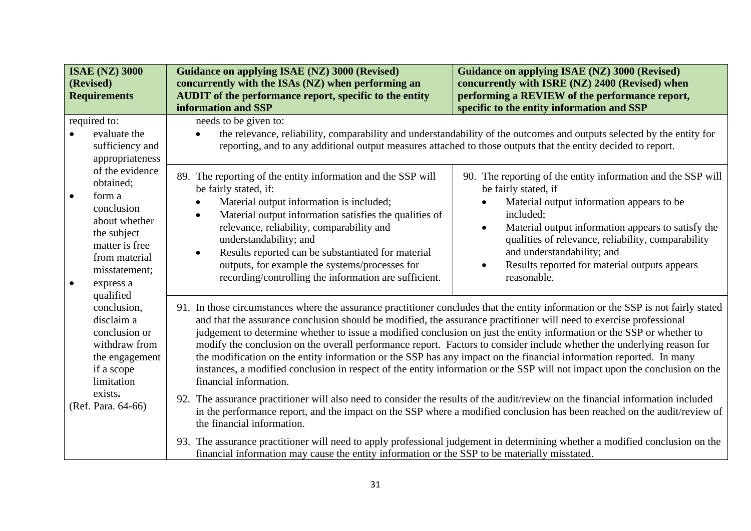| <b>ISAE (NZ) 3000</b><br>(Revised)<br><b>Requirements</b>                                                                                                                                                                                                                                                                                                                                                                                                                                                                                                                                                                                                                                                                                                                                                                                                                                                | Guidance on applying ISAE (NZ) 3000 (Revised)<br>concurrently with the ISAs (NZ) when performing an<br>AUDIT of the performance report, specific to the entity<br>information and SSP                                                                                                                                                                                                                                                                         | <b>Guidance on applying ISAE (NZ) 3000 (Revised)</b><br>concurrently with ISRE (NZ) 2400 (Revised) when<br>performing a REVIEW of the performance report,<br>specific to the entity information and SSP                                                                                                                                                                            |  |
|----------------------------------------------------------------------------------------------------------------------------------------------------------------------------------------------------------------------------------------------------------------------------------------------------------------------------------------------------------------------------------------------------------------------------------------------------------------------------------------------------------------------------------------------------------------------------------------------------------------------------------------------------------------------------------------------------------------------------------------------------------------------------------------------------------------------------------------------------------------------------------------------------------|---------------------------------------------------------------------------------------------------------------------------------------------------------------------------------------------------------------------------------------------------------------------------------------------------------------------------------------------------------------------------------------------------------------------------------------------------------------|------------------------------------------------------------------------------------------------------------------------------------------------------------------------------------------------------------------------------------------------------------------------------------------------------------------------------------------------------------------------------------|--|
| required to:<br>evaluate the<br>sufficiency and<br>appropriateness                                                                                                                                                                                                                                                                                                                                                                                                                                                                                                                                                                                                                                                                                                                                                                                                                                       | needs to be given to:                                                                                                                                                                                                                                                                                                                                                                                                                                         | the relevance, reliability, comparability and understandability of the outcomes and outputs selected by the entity for<br>reporting, and to any additional output measures attached to those outputs that the entity decided to report.                                                                                                                                            |  |
| of the evidence<br>obtained;<br>form a<br>$\bullet$<br>conclusion<br>about whether<br>the subject<br>matter is free<br>from material<br>misstatement;<br>express a<br>$\bullet$<br>qualified                                                                                                                                                                                                                                                                                                                                                                                                                                                                                                                                                                                                                                                                                                             | 89. The reporting of the entity information and the SSP will<br>be fairly stated, if:<br>Material output information is included;<br>Material output information satisfies the qualities of<br>$\bullet$<br>relevance, reliability, comparability and<br>understandability; and<br>Results reported can be substantiated for material<br>$\bullet$<br>outputs, for example the systems/processes for<br>recording/controlling the information are sufficient. | 90. The reporting of the entity information and the SSP will<br>be fairly stated, if<br>Material output information appears to be<br>included;<br>Material output information appears to satisfy the<br>$\bullet$<br>qualities of relevance, reliability, comparability<br>and understandability; and<br>Results reported for material outputs appears<br>$\bullet$<br>reasonable. |  |
| 91. In those circumstances where the assurance practitioner concludes that the entity information or the SSP is not fairly stated<br>conclusion,<br>and that the assurance conclusion should be modified, the assurance practitioner will need to exercise professional<br>disclaim a<br>judgement to determine whether to issue a modified conclusion on just the entity information or the SSP or whether to<br>conclusion or<br>modify the conclusion on the overall performance report. Factors to consider include whether the underlying reason for<br>withdraw from<br>the modification on the entity information or the SSP has any impact on the financial information reported. In many<br>the engagement<br>instances, a modified conclusion in respect of the entity information or the SSP will not impact upon the conclusion on the<br>if a scope<br>financial information.<br>limitation |                                                                                                                                                                                                                                                                                                                                                                                                                                                               |                                                                                                                                                                                                                                                                                                                                                                                    |  |
| exists.<br>(Ref. Para. 64-66)                                                                                                                                                                                                                                                                                                                                                                                                                                                                                                                                                                                                                                                                                                                                                                                                                                                                            | 92. The assurance practitioner will also need to consider the results of the audit/review on the financial information included<br>the financial information.                                                                                                                                                                                                                                                                                                 | in the performance report, and the impact on the SSP where a modified conclusion has been reached on the audit/review of                                                                                                                                                                                                                                                           |  |
|                                                                                                                                                                                                                                                                                                                                                                                                                                                                                                                                                                                                                                                                                                                                                                                                                                                                                                          | 93. The assurance practitioner will need to apply professional judgement in determining whether a modified conclusion on the<br>financial information may cause the entity information or the SSP to be materially misstated.                                                                                                                                                                                                                                 |                                                                                                                                                                                                                                                                                                                                                                                    |  |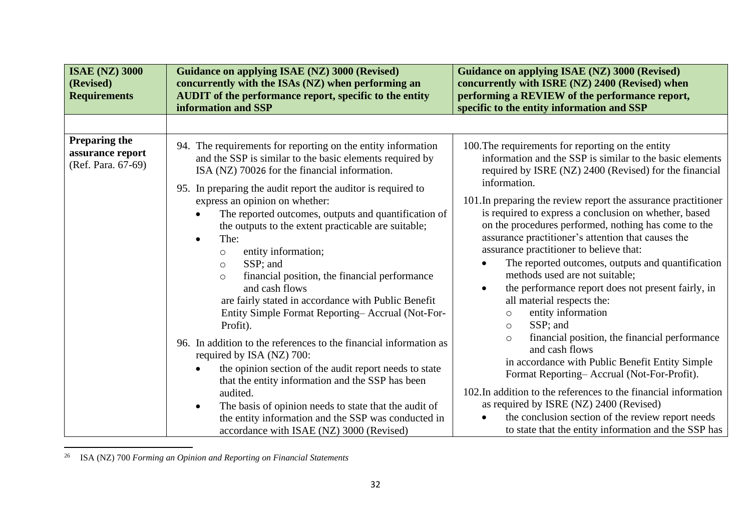| <b>ISAE (NZ) 3000</b><br>(Revised)<br><b>Requirements</b>      | <b>Guidance on applying ISAE (NZ) 3000 (Revised)</b><br>concurrently with the ISAs (NZ) when performing an<br><b>AUDIT</b> of the performance report, specific to the entity<br>information and SSP                                                                                                                                                                                                                                                                                                                                                                                                                                                                                                                                                                                                                                                                                                                                                                                                                                                      | <b>Guidance on applying ISAE (NZ) 3000 (Revised)</b><br>concurrently with ISRE (NZ) 2400 (Revised) when<br>performing a REVIEW of the performance report,<br>specific to the entity information and SSP                                                                                                                                                                                                                                                                                                                                                                                                                                                                                                                                                                                                                                                                                                                                                                                                                                                                                                                                            |
|----------------------------------------------------------------|----------------------------------------------------------------------------------------------------------------------------------------------------------------------------------------------------------------------------------------------------------------------------------------------------------------------------------------------------------------------------------------------------------------------------------------------------------------------------------------------------------------------------------------------------------------------------------------------------------------------------------------------------------------------------------------------------------------------------------------------------------------------------------------------------------------------------------------------------------------------------------------------------------------------------------------------------------------------------------------------------------------------------------------------------------|----------------------------------------------------------------------------------------------------------------------------------------------------------------------------------------------------------------------------------------------------------------------------------------------------------------------------------------------------------------------------------------------------------------------------------------------------------------------------------------------------------------------------------------------------------------------------------------------------------------------------------------------------------------------------------------------------------------------------------------------------------------------------------------------------------------------------------------------------------------------------------------------------------------------------------------------------------------------------------------------------------------------------------------------------------------------------------------------------------------------------------------------------|
|                                                                |                                                                                                                                                                                                                                                                                                                                                                                                                                                                                                                                                                                                                                                                                                                                                                                                                                                                                                                                                                                                                                                          |                                                                                                                                                                                                                                                                                                                                                                                                                                                                                                                                                                                                                                                                                                                                                                                                                                                                                                                                                                                                                                                                                                                                                    |
| <b>Preparing the</b><br>assurance report<br>(Ref. Para. 67-69) | 94. The requirements for reporting on the entity information<br>and the SSP is similar to the basic elements required by<br>ISA (NZ) 70026 for the financial information.<br>95. In preparing the audit report the auditor is required to<br>express an opinion on whether:<br>The reported outcomes, outputs and quantification of<br>the outputs to the extent practicable are suitable;<br>The:<br>entity information;<br>$\circ$<br>SSP; and<br>$\circ$<br>financial position, the financial performance<br>$\circ$<br>and cash flows<br>are fairly stated in accordance with Public Benefit<br>Entity Simple Format Reporting-Accrual (Not-For-<br>Profit).<br>96. In addition to the references to the financial information as<br>required by ISA (NZ) 700:<br>the opinion section of the audit report needs to state<br>that the entity information and the SSP has been<br>audited.<br>The basis of opinion needs to state that the audit of<br>the entity information and the SSP was conducted in<br>accordance with ISAE (NZ) 3000 (Revised) | 100. The requirements for reporting on the entity<br>information and the SSP is similar to the basic elements<br>required by ISRE (NZ) 2400 (Revised) for the financial<br>information.<br>101. In preparing the review report the assurance practitioner<br>is required to express a conclusion on whether, based<br>on the procedures performed, nothing has come to the<br>assurance practitioner's attention that causes the<br>assurance practitioner to believe that:<br>The reported outcomes, outputs and quantification<br>methods used are not suitable;<br>the performance report does not present fairly, in<br>$\bullet$<br>all material respects the:<br>entity information<br>$\circ$<br>SSP; and<br>$\circ$<br>financial position, the financial performance<br>$\circ$<br>and cash flows<br>in accordance with Public Benefit Entity Simple<br>Format Reporting-Accrual (Not-For-Profit).<br>102. In addition to the references to the financial information<br>as required by ISRE (NZ) 2400 (Revised)<br>the conclusion section of the review report needs<br>$\bullet$<br>to state that the entity information and the SSP has |

<sup>26</sup> ISA (NZ) 700 *Forming an Opinion and Reporting on Financial Statements*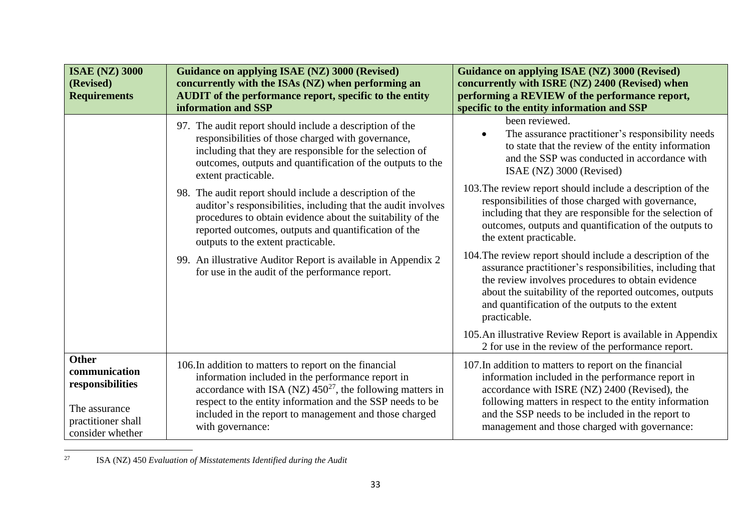| <b>ISAE (NZ) 3000</b><br>(Revised)<br><b>Requirements</b>                                             | <b>Guidance on applying ISAE (NZ) 3000 (Revised)</b><br>concurrently with the ISAs (NZ) when performing an<br>AUDIT of the performance report, specific to the entity<br>information and SSP                                                                                                                             | <b>Guidance on applying ISAE (NZ) 3000 (Revised)</b><br>concurrently with ISRE (NZ) 2400 (Revised) when<br>performing a REVIEW of the performance report,<br>specific to the entity information and SSP                                                                                                                      |
|-------------------------------------------------------------------------------------------------------|--------------------------------------------------------------------------------------------------------------------------------------------------------------------------------------------------------------------------------------------------------------------------------------------------------------------------|------------------------------------------------------------------------------------------------------------------------------------------------------------------------------------------------------------------------------------------------------------------------------------------------------------------------------|
|                                                                                                       | 97. The audit report should include a description of the<br>responsibilities of those charged with governance,<br>including that they are responsible for the selection of<br>outcomes, outputs and quantification of the outputs to the<br>extent practicable.                                                          | been reviewed.<br>The assurance practitioner's responsibility needs<br>to state that the review of the entity information<br>and the SSP was conducted in accordance with<br>ISAE (NZ) 3000 (Revised)                                                                                                                        |
|                                                                                                       | 98. The audit report should include a description of the<br>auditor's responsibilities, including that the audit involves<br>procedures to obtain evidence about the suitability of the<br>reported outcomes, outputs and quantification of the<br>outputs to the extent practicable.                                    | 103. The review report should include a description of the<br>responsibilities of those charged with governance,<br>including that they are responsible for the selection of<br>outcomes, outputs and quantification of the outputs to<br>the extent practicable.                                                            |
|                                                                                                       | 99. An illustrative Auditor Report is available in Appendix 2<br>for use in the audit of the performance report.                                                                                                                                                                                                         | 104. The review report should include a description of the<br>assurance practitioner's responsibilities, including that<br>the review involves procedures to obtain evidence<br>about the suitability of the reported outcomes, outputs<br>and quantification of the outputs to the extent<br>practicable.                   |
|                                                                                                       |                                                                                                                                                                                                                                                                                                                          | 105. An illustrative Review Report is available in Appendix<br>2 for use in the review of the performance report.                                                                                                                                                                                                            |
| Other<br>communication<br>responsibilities<br>The assurance<br>practitioner shall<br>consider whether | 106. In addition to matters to report on the financial<br>information included in the performance report in<br>accordance with ISA (NZ) $450^{27}$ , the following matters in<br>respect to the entity information and the SSP needs to be<br>included in the report to management and those charged<br>with governance: | 107. In addition to matters to report on the financial<br>information included in the performance report in<br>accordance with ISRE (NZ) 2400 (Revised), the<br>following matters in respect to the entity information<br>and the SSP needs to be included in the report to<br>management and those charged with governance: |

<sup>27</sup> ISA (NZ) 450 *Evaluation of Misstatements Identified during the Audit*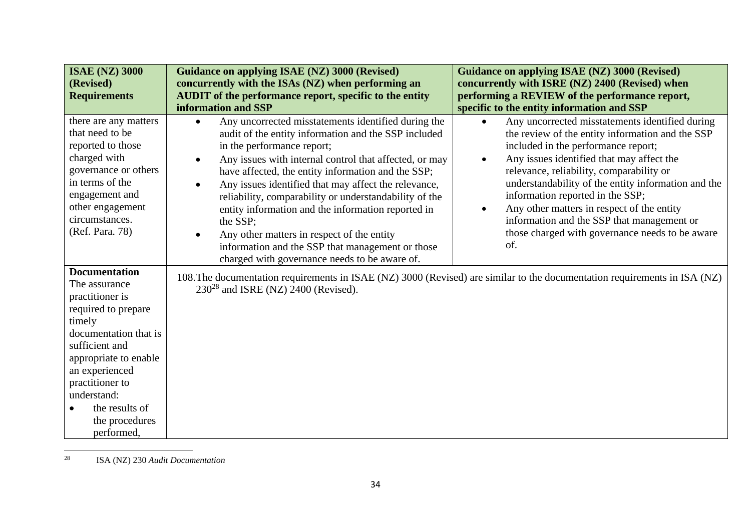| <b>ISAE (NZ) 3000</b>                                                                                                                                                                                                                                               | Guidance on applying ISAE (NZ) 3000 (Revised)                                                                                                                                                                                                                                                                                                                                                                                                                                                                                                                                                                              | Guidance on applying ISAE (NZ) 3000 (Revised)                                                                                                                                                                                                                                                                                                                                                                                                                                                                               |
|---------------------------------------------------------------------------------------------------------------------------------------------------------------------------------------------------------------------------------------------------------------------|----------------------------------------------------------------------------------------------------------------------------------------------------------------------------------------------------------------------------------------------------------------------------------------------------------------------------------------------------------------------------------------------------------------------------------------------------------------------------------------------------------------------------------------------------------------------------------------------------------------------------|-----------------------------------------------------------------------------------------------------------------------------------------------------------------------------------------------------------------------------------------------------------------------------------------------------------------------------------------------------------------------------------------------------------------------------------------------------------------------------------------------------------------------------|
| (Revised)                                                                                                                                                                                                                                                           | concurrently with the ISAs (NZ) when performing an                                                                                                                                                                                                                                                                                                                                                                                                                                                                                                                                                                         | concurrently with ISRE (NZ) 2400 (Revised) when                                                                                                                                                                                                                                                                                                                                                                                                                                                                             |
| <b>Requirements</b>                                                                                                                                                                                                                                                 | <b>AUDIT</b> of the performance report, specific to the entity                                                                                                                                                                                                                                                                                                                                                                                                                                                                                                                                                             | performing a REVIEW of the performance report,                                                                                                                                                                                                                                                                                                                                                                                                                                                                              |
|                                                                                                                                                                                                                                                                     | information and SSP                                                                                                                                                                                                                                                                                                                                                                                                                                                                                                                                                                                                        | specific to the entity information and SSP                                                                                                                                                                                                                                                                                                                                                                                                                                                                                  |
| there are any matters<br>that need to be<br>reported to those<br>charged with<br>governance or others<br>in terms of the<br>engagement and<br>other engagement<br>circumstances.<br>(Ref. Para. 78)                                                                 | Any uncorrected misstatements identified during the<br>$\bullet$<br>audit of the entity information and the SSP included<br>in the performance report;<br>Any issues with internal control that affected, or may<br>$\bullet$<br>have affected, the entity information and the SSP;<br>Any issues identified that may affect the relevance,<br>reliability, comparability or understandability of the<br>entity information and the information reported in<br>the SSP;<br>Any other matters in respect of the entity<br>information and the SSP that management or those<br>charged with governance needs to be aware of. | Any uncorrected misstatements identified during<br>$\bullet$<br>the review of the entity information and the SSP<br>included in the performance report;<br>Any issues identified that may affect the<br>$\bullet$<br>relevance, reliability, comparability or<br>understandability of the entity information and the<br>information reported in the SSP;<br>Any other matters in respect of the entity<br>$\bullet$<br>information and the SSP that management or<br>those charged with governance needs to be aware<br>of. |
| <b>Documentation</b><br>The assurance<br>practitioner is<br>required to prepare<br>timely<br>documentation that is<br>sufficient and<br>appropriate to enable<br>an experienced<br>practitioner to<br>understand:<br>the results of<br>the procedures<br>performed, | 108. The documentation requirements in ISAE (NZ) 3000 (Revised) are similar to the documentation requirements in ISA (NZ)<br>$230^{28}$ and ISRE (NZ) 2400 (Revised).                                                                                                                                                                                                                                                                                                                                                                                                                                                      |                                                                                                                                                                                                                                                                                                                                                                                                                                                                                                                             |

<sup>28</sup> ISA (NZ) 230 *Audit Documentation*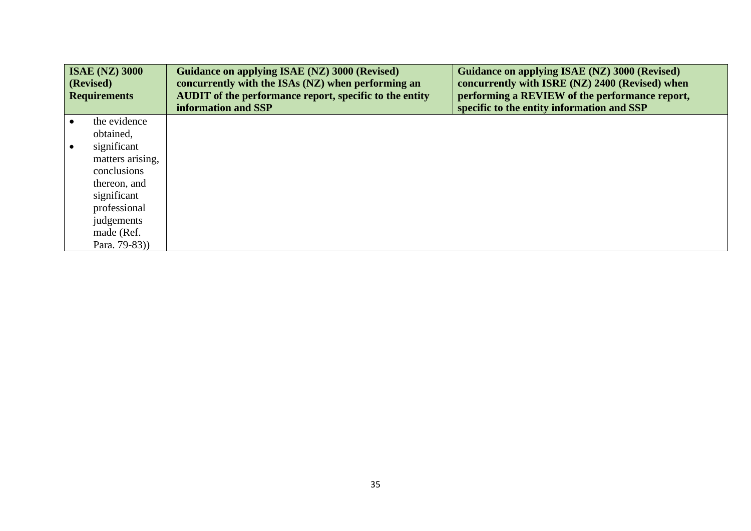|           | <b>ISAE (NZ) 3000</b><br>(Revised)<br><b>Requirements</b> | <b>Guidance on applying ISAE (NZ) 3000 (Revised)</b><br>concurrently with the ISAs (NZ) when performing an<br><b>AUDIT</b> of the performance report, specific to the entity<br>information and SSP | Guidance on applying ISAE (NZ) 3000 (Revised)<br>concurrently with ISRE (NZ) 2400 (Revised) when<br>performing a REVIEW of the performance report,<br>specific to the entity information and SSP |
|-----------|-----------------------------------------------------------|-----------------------------------------------------------------------------------------------------------------------------------------------------------------------------------------------------|--------------------------------------------------------------------------------------------------------------------------------------------------------------------------------------------------|
| $\bullet$ | the evidence                                              |                                                                                                                                                                                                     |                                                                                                                                                                                                  |
|           | obtained,                                                 |                                                                                                                                                                                                     |                                                                                                                                                                                                  |
| $\bullet$ | significant                                               |                                                                                                                                                                                                     |                                                                                                                                                                                                  |
|           | matters arising,                                          |                                                                                                                                                                                                     |                                                                                                                                                                                                  |
|           | conclusions                                               |                                                                                                                                                                                                     |                                                                                                                                                                                                  |
|           | thereon, and                                              |                                                                                                                                                                                                     |                                                                                                                                                                                                  |
|           | significant                                               |                                                                                                                                                                                                     |                                                                                                                                                                                                  |
|           | professional                                              |                                                                                                                                                                                                     |                                                                                                                                                                                                  |
|           | judgements                                                |                                                                                                                                                                                                     |                                                                                                                                                                                                  |
|           | made (Ref.                                                |                                                                                                                                                                                                     |                                                                                                                                                                                                  |
|           | Para. 79-83))                                             |                                                                                                                                                                                                     |                                                                                                                                                                                                  |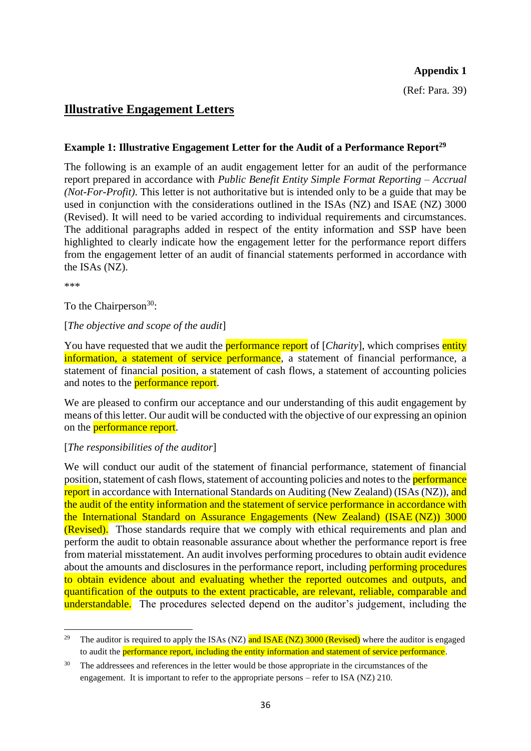### **Appendix 1**

(Ref: Para. 39)

# **Illustrative Engagement Letters**

# **Example 1: Illustrative Engagement Letter for the Audit of a Performance Report<sup>29</sup>**

The following is an example of an audit engagement letter for an audit of the performance report prepared in accordance with *Public Benefit Entity Simple Format Reporting – Accrual (Not-For-Profit)*. This letter is not authoritative but is intended only to be a guide that may be used in conjunction with the considerations outlined in the ISAs (NZ) and ISAE (NZ) 3000 (Revised). It will need to be varied according to individual requirements and circumstances. The additional paragraphs added in respect of the entity information and SSP have been highlighted to clearly indicate how the engagement letter for the performance report differs from the engagement letter of an audit of financial statements performed in accordance with the ISAs (NZ).

\*\*\*

To the Chairperson<sup>30</sup>:

# [*The objective and scope of the audit*]

You have requested that we audit the **performance report** of [*Charity*], which comprises entity information, a statement of service performance, a statement of financial performance, a statement of financial position, a statement of cash flows, a statement of accounting policies and notes to the **performance report**.

We are pleased to confirm our acceptance and our understanding of this audit engagement by means of this letter. Our audit will be conducted with the objective of our expressing an opinion on the **performance report**.

# [*The responsibilities of the auditor*]

We will conduct our audit of the statement of financial performance, statement of financial position, statement of cash flows, statement of accounting policies and notes to the **performance** report in accordance with International Standards on Auditing (New Zealand) (ISAs (NZ)), and the audit of the entity information and the statement of service performance in accordance with the International Standard on Assurance Engagements (New Zealand) (ISAE (NZ)) 3000 (Revised). Those standards require that we comply with ethical requirements and plan and perform the audit to obtain reasonable assurance about whether the performance report is free from material misstatement. An audit involves performing procedures to obtain audit evidence about the amounts and disclosures in the performance report, including performing procedures to obtain evidence about and evaluating whether the reported outcomes and outputs, and quantification of the outputs to the extent practicable, are relevant, reliable, comparable and understandable. The procedures selected depend on the auditor's judgement, including the

<sup>&</sup>lt;sup>29</sup> The auditor is required to apply the ISAs (NZ) and ISAE (NZ) 3000 (Revised) where the auditor is engaged to audit the performance report, including the entity information and statement of service performance.

<sup>&</sup>lt;sup>30</sup> The addressees and references in the letter would be those appropriate in the circumstances of the engagement. It is important to refer to the appropriate persons – refer to ISA (NZ) 210.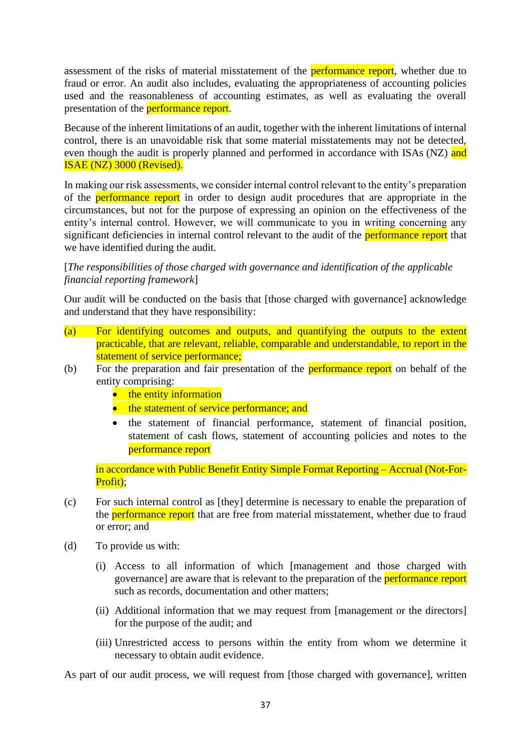assessment of the risks of material misstatement of the **performance report**, whether due to fraud or error. An audit also includes, evaluating the appropriateness of accounting policies used and the reasonableness of accounting estimates, as well as evaluating the overall presentation of the **performance report**.

Because of the inherent limitations of an audit, together with the inherent limitations of internal control, there is an unavoidable risk that some material misstatements may not be detected, even though the audit is properly planned and performed in accordance with ISAs (NZ) and ISAE (NZ) 3000 (Revised).

In making our risk assessments, we consider internal control relevant to the entity's preparation of the **performance report** in order to design audit procedures that are appropriate in the circumstances, but not for the purpose of expressing an opinion on the effectiveness of the entity's internal control. However, we will communicate to you in writing concerning any significant deficiencies in internal control relevant to the audit of the performance report that we have identified during the audit.

### [*The responsibilities of those charged with governance and identification of the applicable financial reporting framework*]

Our audit will be conducted on the basis that [those charged with governance] acknowledge and understand that they have responsibility:

- (a) For identifying outcomes and outputs, and quantifying the outputs to the extent practicable, that are relevant, reliable, comparable and understandable, to report in the statement of service performance;
- (b) For the preparation and fair presentation of the **performance report** on behalf of the entity comprising:
	- the entity information
	- the statement of service performance; and
	- the statement of financial performance, statement of financial position, statement of cash flows, statement of accounting policies and notes to the performance report

in accordance with Public Benefit Entity Simple Format Reporting – Accrual (Not-For-Profit);

- (c) For such internal control as [they] determine is necessary to enable the preparation of the **performance report** that are free from material misstatement, whether due to fraud or error; and
- (d) To provide us with:
	- (i) Access to all information of which [management and those charged with governance] are aware that is relevant to the preparation of the performance report such as records, documentation and other matters;
	- (ii) Additional information that we may request from [management or the directors] for the purpose of the audit; and
	- (iii) Unrestricted access to persons within the entity from whom we determine it necessary to obtain audit evidence.

As part of our audit process, we will request from [those charged with governance], written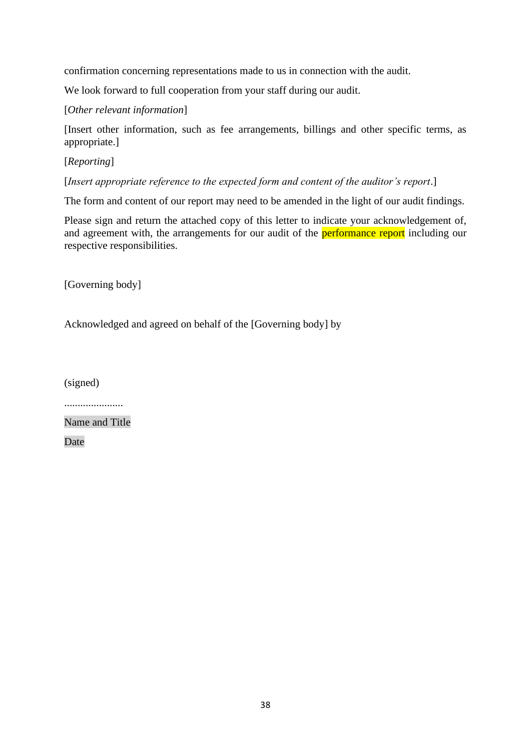confirmation concerning representations made to us in connection with the audit.

We look forward to full cooperation from your staff during our audit.

[*Other relevant information*]

[Insert other information, such as fee arrangements, billings and other specific terms, as appropriate.]

[*Reporting*]

[*Insert appropriate reference to the expected form and content of the auditor's report*.]

The form and content of our report may need to be amended in the light of our audit findings.

Please sign and return the attached copy of this letter to indicate your acknowledgement of, and agreement with, the arrangements for our audit of the **performance report** including our respective responsibilities.

[Governing body]

Acknowledged and agreed on behalf of the [Governing body] by

(signed)

......................

Name and Title

Date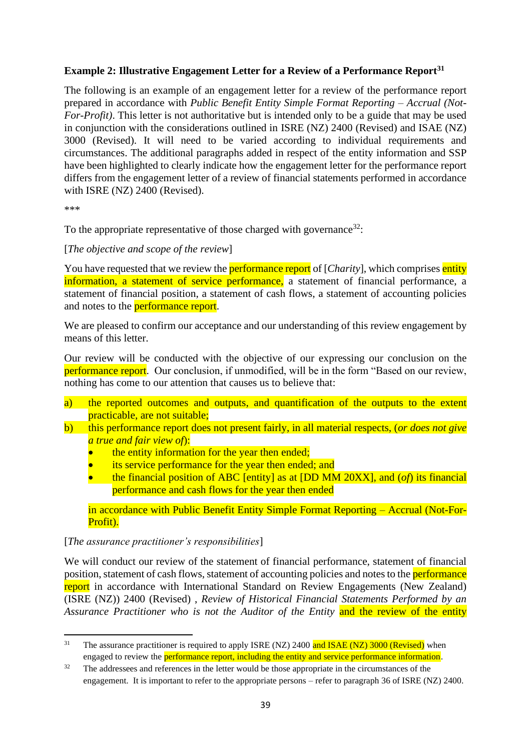# **Example 2: Illustrative Engagement Letter for a Review of a Performance Report<sup>31</sup>**

The following is an example of an engagement letter for a review of the performance report prepared in accordance with *Public Benefit Entity Simple Format Reporting – Accrual (Not-For-Profit*). This letter is not authoritative but is intended only to be a guide that may be used in conjunction with the considerations outlined in ISRE (NZ) 2400 (Revised) and ISAE (NZ) 3000 (Revised). It will need to be varied according to individual requirements and circumstances. The additional paragraphs added in respect of the entity information and SSP have been highlighted to clearly indicate how the engagement letter for the performance report differs from the engagement letter of a review of financial statements performed in accordance with ISRE (NZ) 2400 (Revised).

\*\*\*

To the appropriate representative of those charged with governance  $32$ :

### [*The objective and scope of the review*]

You have requested that we review the **performance report** of [*Charity*], which comprises entity information, a statement of service performance, a statement of financial performance, a statement of financial position, a statement of cash flows, a statement of accounting policies and notes to the **performance report**.

We are pleased to confirm our acceptance and our understanding of this review engagement by means of this letter.

Our review will be conducted with the objective of our expressing our conclusion on the performance report. Our conclusion, if unmodified, will be in the form "Based on our review, nothing has come to our attention that causes us to believe that:

- a) the reported outcomes and outputs, and quantification of the outputs to the extent practicable, are not suitable;
- b) this performance report does not present fairly, in all material respects, (*or does not give a true and fair view of*):
	- the entity information for the year then ended;
	- its service performance for the year then ended; and
	- the financial position of ABC [entity] as at [DD MM 20XX], and (*of*) its financial performance and cash flows for the year then ended

in accordance with Public Benefit Entity Simple Format Reporting – Accrual (Not-For-Profit).

#### [*The assurance practitioner's responsibilities*]

We will conduct our review of the statement of financial performance, statement of financial position, statement of cash flows, statement of accounting policies and notes to the **performance** report in accordance with International Standard on Review Engagements (New Zealand) (ISRE (NZ)) 2400 (Revised) , *Review of Historical Financial Statements Performed by an Assurance Practitioner who is not the Auditor of the Entity* and the review of the entity

<sup>&</sup>lt;sup>31</sup> The assurance practitioner is required to apply ISRE (NZ) 2400 and ISAE (NZ) 3000 (Revised) when engaged to review the performance report, including the entity and service performance information.

<sup>&</sup>lt;sup>32</sup> The addressees and references in the letter would be those appropriate in the circumstances of the engagement. It is important to refer to the appropriate persons – refer to paragraph 36 of ISRE (NZ) 2400.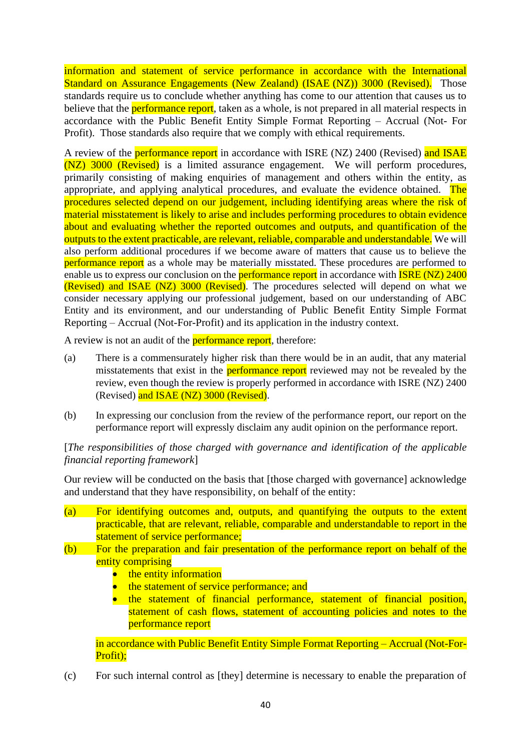information and statement of service performance in accordance with the International Standard on Assurance Engagements (New Zealand) (ISAE (NZ)) 3000 (Revised). Those standards require us to conclude whether anything has come to our attention that causes us to believe that the **performance report**, taken as a whole, is not prepared in all material respects in accordance with the Public Benefit Entity Simple Format Reporting – Accrual (Not- For Profit). Those standards also require that we comply with ethical requirements.

A review of the **performance report** in accordance with ISRE (NZ) 2400 (Revised) and ISAE (NZ) 3000 (Revised) is a limited assurance engagement. We will perform procedures, primarily consisting of making enquiries of management and others within the entity, as appropriate, and applying analytical procedures, and evaluate the evidence obtained. The procedures selected depend on our judgement, including identifying areas where the risk of material misstatement is likely to arise and includes performing procedures to obtain evidence about and evaluating whether the reported outcomes and outputs, and quantification of the outputs to the extent practicable, are relevant, reliable, comparable and understandable. We will also perform additional procedures if we become aware of matters that cause us to believe the **performance report** as a whole may be materially misstated. These procedures are performed to enable us to express our conclusion on the **performance report** in accordance with **ISRE (NZ) 2400** (Revised) and ISAE (NZ) 3000 (Revised). The procedures selected will depend on what we consider necessary applying our professional judgement, based on our understanding of ABC Entity and its environment, and our understanding of Public Benefit Entity Simple Format Reporting – Accrual (Not-For-Profit) and its application in the industry context.

A review is not an audit of the **performance report**, therefore:

- (a) There is a commensurately higher risk than there would be in an audit, that any material misstatements that exist in the **performance report** reviewed may not be revealed by the review, even though the review is properly performed in accordance with ISRE (NZ) 2400 (Revised) and ISAE (NZ) 3000 (Revised).
- (b) In expressing our conclusion from the review of the performance report, our report on the performance report will expressly disclaim any audit opinion on the performance report.

[*The responsibilities of those charged with governance and identification of the applicable financial reporting framework*]

Our review will be conducted on the basis that [those charged with governance] acknowledge and understand that they have responsibility, on behalf of the entity:

- (a) For identifying outcomes and, outputs, and quantifying the outputs to the extent practicable, that are relevant, reliable, comparable and understandable to report in the statement of service performance:
- (b) For the preparation and fair presentation of the performance report on behalf of the entity comprising
	- the entity information
	- the statement of service performance; and
	- the statement of financial performance, statement of financial position, statement of cash flows, statement of accounting policies and notes to the performance report

in accordance with Public Benefit Entity Simple Format Reporting – Accrual (Not-For-Profit);

(c) For such internal control as [they] determine is necessary to enable the preparation of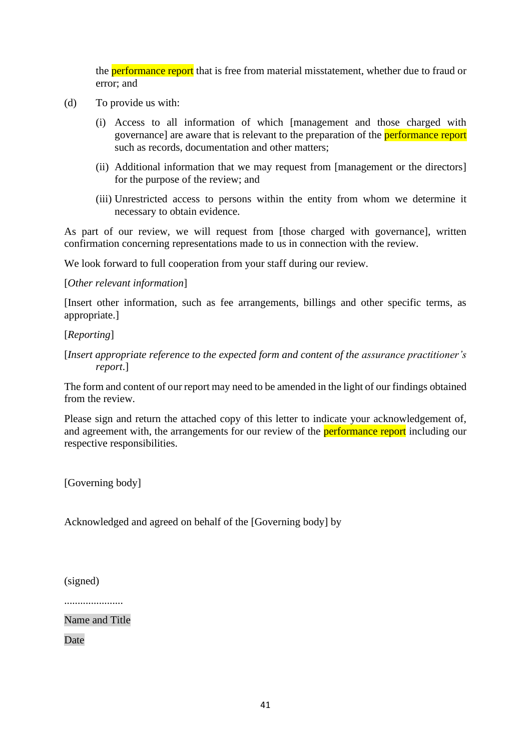the **performance report** that is free from material misstatement, whether due to fraud or error; and

- (d) To provide us with:
	- (i) Access to all information of which [management and those charged with governance] are aware that is relevant to the preparation of the **performance report** such as records, documentation and other matters;
	- (ii) Additional information that we may request from [management or the directors] for the purpose of the review; and
	- (iii) Unrestricted access to persons within the entity from whom we determine it necessary to obtain evidence.

As part of our review, we will request from [those charged with governance], written confirmation concerning representations made to us in connection with the review.

We look forward to full cooperation from your staff during our review.

### [*Other relevant information*]

[Insert other information, such as fee arrangements, billings and other specific terms, as appropriate.]

[*Reporting*]

[*Insert appropriate reference to the expected form and content of the assurance practitioner's report*.]

The form and content of our report may need to be amended in the light of our findings obtained from the review.

Please sign and return the attached copy of this letter to indicate your acknowledgement of, and agreement with, the arrangements for our review of the **performance report** including our respective responsibilities.

[Governing body]

Acknowledged and agreed on behalf of the [Governing body] by

(signed)

......................

Name and Title

Date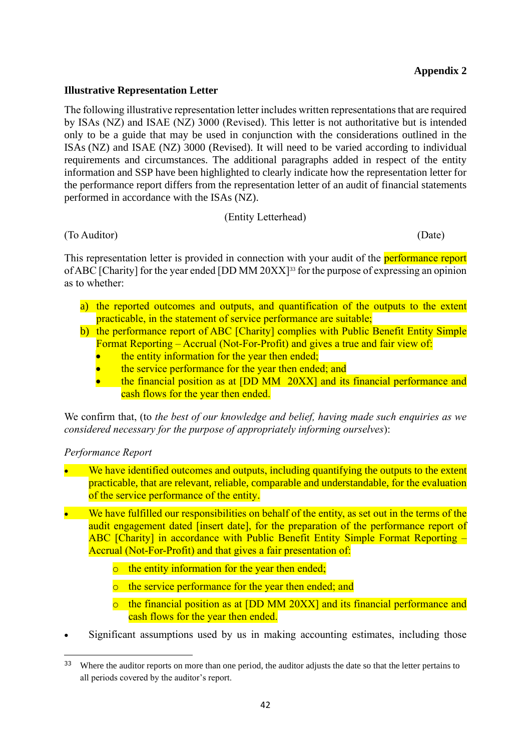# **Appendix 2**

### **Illustrative Representation Letter**

The following illustrative representation letter includes written representations that are required by ISAs (NZ) and ISAE (NZ) 3000 (Revised). This letter is not authoritative but is intended only to be a guide that may be used in conjunction with the considerations outlined in the ISAs (NZ) and ISAE (NZ) 3000 (Revised). It will need to be varied according to individual requirements and circumstances. The additional paragraphs added in respect of the entity information and SSP have been highlighted to clearly indicate how the representation letter for the performance report differs from the representation letter of an audit of financial statements performed in accordance with the ISAs (NZ).

#### (Entity Letterhead)

(To Auditor) (Date)

This representation letter is provided in connection with your audit of the **performance report** of ABC [Charity] for the year ended [DD MM 20XX] <sup>33</sup> for the purpose of expressing an opinion as to whether:

- a) the reported outcomes and outputs, and quantification of the outputs to the extent practicable, in the statement of service performance are suitable;
- b) the performance report of ABC [Charity] complies with Public Benefit Entity Simple Format Reporting – Accrual (Not-For-Profit) and gives a true and fair view of:
	- the entity information for the year then ended;
	- the service performance for the year then ended; and
	- the financial position as at [DD MM 20XX] and its financial performance and cash flows for the year then ended.

We confirm that, (to *the best of our knowledge and belief, having made such enquiries as we considered necessary for the purpose of appropriately informing ourselves*):

# *Performance Report*

- We have identified outcomes and outputs, including quantifying the outputs to the extent practicable, that are relevant, reliable, comparable and understandable, for the evaluation of the service performance of the entity.
- We have fulfilled our responsibilities on behalf of the entity, as set out in the terms of the audit engagement dated [insert date], for the preparation of the performance report of ABC [Charity] in accordance with Public Benefit Entity Simple Format Reporting – Accrual (Not-For-Profit) and that gives a fair presentation of:
	- o the entity information for the year then ended;
	- o the service performance for the year then ended; and
	- o the financial position as at [DD MM 20XX] and its financial performance and cash flows for the year then ended.
- Significant assumptions used by us in making accounting estimates, including those

<sup>&</sup>lt;sup>33</sup> Where the auditor reports on more than one period, the auditor adjusts the date so that the letter pertains to all periods covered by the auditor's report.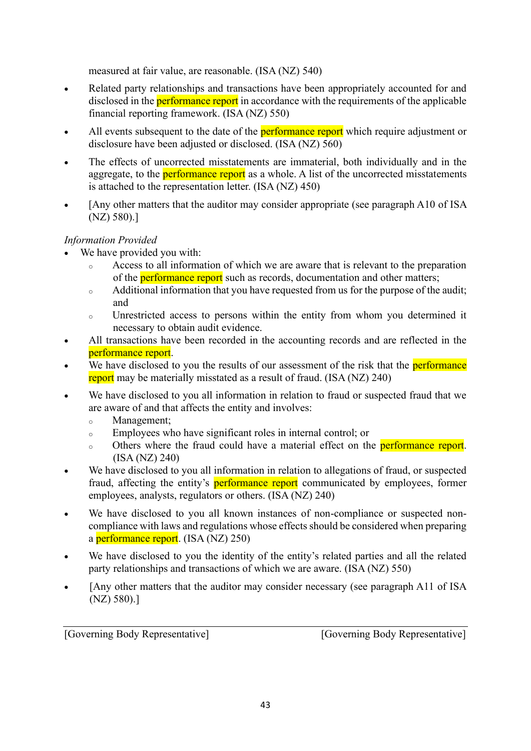measured at fair value, are reasonable. (ISA (NZ) 540)

- Related party relationships and transactions have been appropriately accounted for and disclosed in the **performance report** in accordance with the requirements of the applicable financial reporting framework. (ISA (NZ) 550)
- All events subsequent to the date of the **performance report** which require adjustment or disclosure have been adjusted or disclosed. (ISA (NZ) 560)
- The effects of uncorrected misstatements are immaterial, both individually and in the aggregate, to the **performance report** as a whole. A list of the uncorrected misstatements is attached to the representation letter. (ISA (NZ) 450)
- [Any other matters that the auditor may consider appropriate (see paragraph A10 of ISA) (NZ) 580).]

# *Information Provided*

- We have provided you with:
	- <sup>o</sup> Access to all information of which we are aware that is relevant to the preparation of the **performance report** such as records, documentation and other matters;
	- <sup>o</sup> Additional information that you have requested from us for the purpose of the audit; and
	- <sup>o</sup> Unrestricted access to persons within the entity from whom you determined it necessary to obtain audit evidence.
- All transactions have been recorded in the accounting records and are reflected in the performance report.
- We have disclosed to you the results of our assessment of the risk that the **performance** report may be materially misstated as a result of fraud. (ISA (NZ) 240)
- We have disclosed to you all information in relation to fraud or suspected fraud that we are aware of and that affects the entity and involves:
	- <sup>o</sup> Management;
	- <sup>o</sup> Employees who have significant roles in internal control; or
	- o Others where the fraud could have a material effect on the **performance report**. (ISA (NZ) 240)
- We have disclosed to you all information in relation to allegations of fraud, or suspected fraud, affecting the entity's **performance report** communicated by employees, former employees, analysts, regulators or others. (ISA (NZ) 240)
- We have disclosed to you all known instances of non-compliance or suspected noncompliance with laws and regulations whose effects should be considered when preparing a performance report. (ISA (NZ) 250)
- We have disclosed to you the identity of the entity's related parties and all the related party relationships and transactions of which we are aware. (ISA (NZ) 550)
- [Any other matters that the auditor may consider necessary (see paragraph A11 of ISA (NZ) 580).]

[Governing Body Representative] [Governing Body Representative]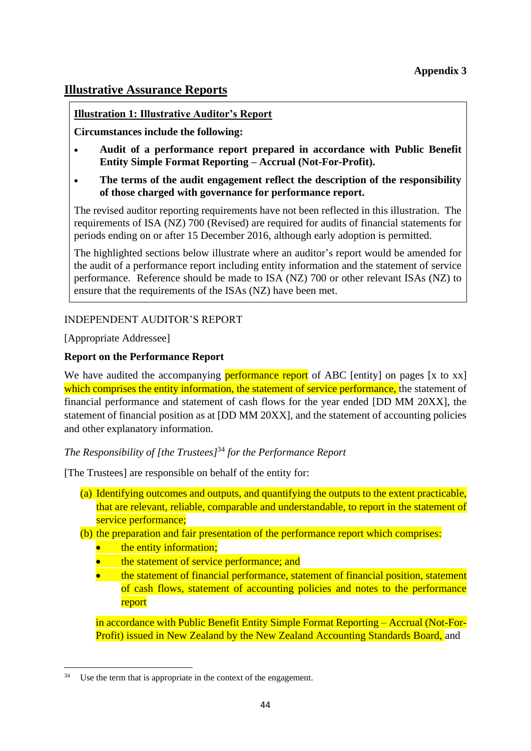# **Illustrative Assurance Reports**

# **Illustration 1: Illustrative Auditor's Report**

**Circumstances include the following:**

- **Audit of a performance report prepared in accordance with Public Benefit Entity Simple Format Reporting – Accrual (Not-For-Profit).**
- **The terms of the audit engagement reflect the description of the responsibility of those charged with governance for performance report.**

The revised auditor reporting requirements have not been reflected in this illustration. The requirements of ISA (NZ) 700 (Revised) are required for audits of financial statements for periods ending on or after 15 December 2016, although early adoption is permitted.

The highlighted sections below illustrate where an auditor's report would be amended for the audit of a performance report including entity information and the statement of service performance. Reference should be made to ISA (NZ) 700 or other relevant ISAs (NZ) to ensure that the requirements of the ISAs (NZ) have been met.

# INDEPENDENT AUDITOR'S REPORT

[Appropriate Addressee]

# **Report on the Performance Report**

We have audited the accompanying **performance report** of ABC [entity] on pages [x to xx] which comprises the entity information, the statement of service performance, the statement of financial performance and statement of cash flows for the year ended [DD MM 20XX], the statement of financial position as at [DD MM 20XX], and the statement of accounting policies and other explanatory information.

# *The Responsibility of [the Trustees]* <sup>34</sup> *for the Performance Report*

[The Trustees] are responsible on behalf of the entity for:

- (a) Identifying outcomes and outputs, and quantifying the outputs to the extent practicable, that are relevant, reliable, comparable and understandable, to report in the statement of service performance;
- (b) the preparation and fair presentation of the performance report which comprises:
	- the entity information;
	- the statement of service performance; and
	- the statement of financial performance, statement of financial position, statement of cash flows, statement of accounting policies and notes to the performance report

in accordance with Public Benefit Entity Simple Format Reporting – Accrual (Not-For-Profit) issued in New Zealand by the New Zealand Accounting Standards Board, and

<sup>&</sup>lt;sup>34</sup> Use the term that is appropriate in the context of the engagement.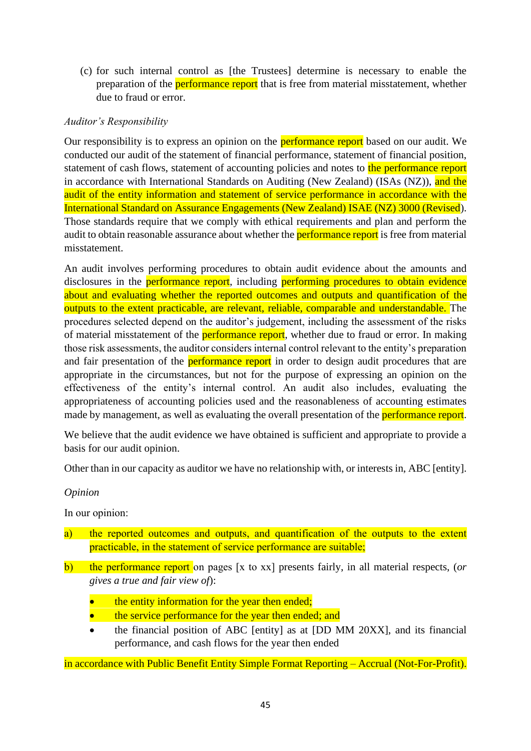(c) for such internal control as [the Trustees] determine is necessary to enable the preparation of the **performance report** that is free from material misstatement, whether due to fraud or error.

# *Auditor's Responsibility*

Our responsibility is to express an opinion on the **performance report** based on our audit. We conducted our audit of the statement of financial performance, statement of financial position, statement of cash flows, statement of accounting policies and notes to the performance report in accordance with International Standards on Auditing (New Zealand) (ISAs (NZ)), and the audit of the entity information and statement of service performance in accordance with the International Standard on Assurance Engagements (New Zealand) ISAE (NZ) 3000 (Revised). Those standards require that we comply with ethical requirements and plan and perform the audit to obtain reasonable assurance about whether the **performance report** is free from material misstatement.

An audit involves performing procedures to obtain audit evidence about the amounts and disclosures in the performance report, including performing procedures to obtain evidence about and evaluating whether the reported outcomes and outputs and quantification of the outputs to the extent practicable, are relevant, reliable, comparable and understandable. The procedures selected depend on the auditor's judgement, including the assessment of the risks of material misstatement of the **performance report**, whether due to fraud or error. In making those risk assessments, the auditor considers internal control relevant to the entity's preparation and fair presentation of the **performance report** in order to design audit procedures that are appropriate in the circumstances, but not for the purpose of expressing an opinion on the effectiveness of the entity's internal control. An audit also includes, evaluating the appropriateness of accounting policies used and the reasonableness of accounting estimates made by management, as well as evaluating the overall presentation of the **performance report**.

We believe that the audit evidence we have obtained is sufficient and appropriate to provide a basis for our audit opinion.

Other than in our capacity as auditor we have no relationship with, or interests in, ABC [entity].

#### *Opinion*

In our opinion:

- a) the reported outcomes and outputs, and quantification of the outputs to the extent practicable, in the statement of service performance are suitable;
- b) the performance report on pages [x to xx] presents fairly, in all material respects, (*or gives a true and fair view of*):
	- the entity information for the year then ended;
	- the service performance for the year then ended; and
	- the financial position of ABC [entity] as at [DD MM 20XX], and its financial performance, and cash flows for the year then ended

in accordance with Public Benefit Entity Simple Format Reporting – Accrual (Not-For-Profit).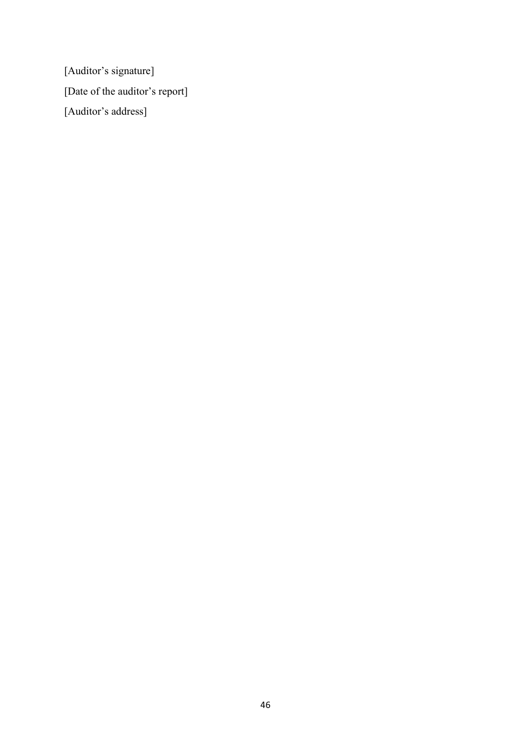[Auditor's signature] [Date of the auditor's report] [Auditor's address]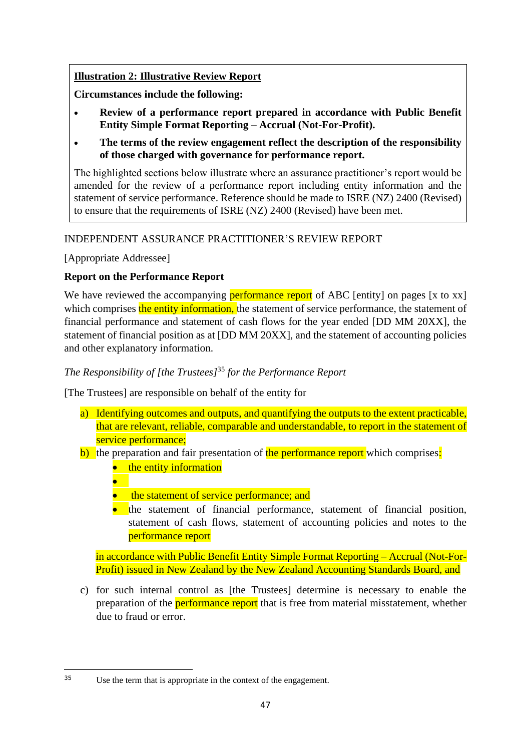# **Illustration 2: Illustrative Review Report**

**Circumstances include the following:**

- **Review of a performance report prepared in accordance with Public Benefit Entity Simple Format Reporting – Accrual (Not-For-Profit).**
- **The terms of the review engagement reflect the description of the responsibility of those charged with governance for performance report.**

The highlighted sections below illustrate where an assurance practitioner's report would be amended for the review of a performance report including entity information and the statement of service performance. Reference should be made to ISRE (NZ) 2400 (Revised) to ensure that the requirements of ISRE (NZ) 2400 (Revised) have been met.

# INDEPENDENT ASSURANCE PRACTITIONER'S REVIEW REPORT

[Appropriate Addressee]

# **Report on the Performance Report**

We have reviewed the accompanying **performance report** of ABC [entity] on pages [x to xx] which comprises the entity information, the statement of service performance, the statement of financial performance and statement of cash flows for the year ended [DD MM 20XX], the statement of financial position as at [DD MM 20XX], and the statement of accounting policies and other explanatory information.

# *The Responsibility of [the Trustees]*<sup>35</sup> *for the Performance Report*

[The Trustees] are responsible on behalf of the entity for

- a) Identifying outcomes and outputs, and quantifying the outputs to the extent practicable, that are relevant, reliable, comparable and understandable, to report in the statement of service performance;
- b) the preparation and fair presentation of the performance report which comprises:
	- the entity information
	- •
	- the statement of service performance; and
	- the statement of financial performance, statement of financial position, statement of cash flows, statement of accounting policies and notes to the performance report

in accordance with Public Benefit Entity Simple Format Reporting – Accrual (Not-For-Profit) issued in New Zealand by the New Zealand Accounting Standards Board, and

c) for such internal control as [the Trustees] determine is necessary to enable the preparation of the performance report that is free from material misstatement, whether due to fraud or error.

<sup>35</sup> Use the term that is appropriate in the context of the engagement.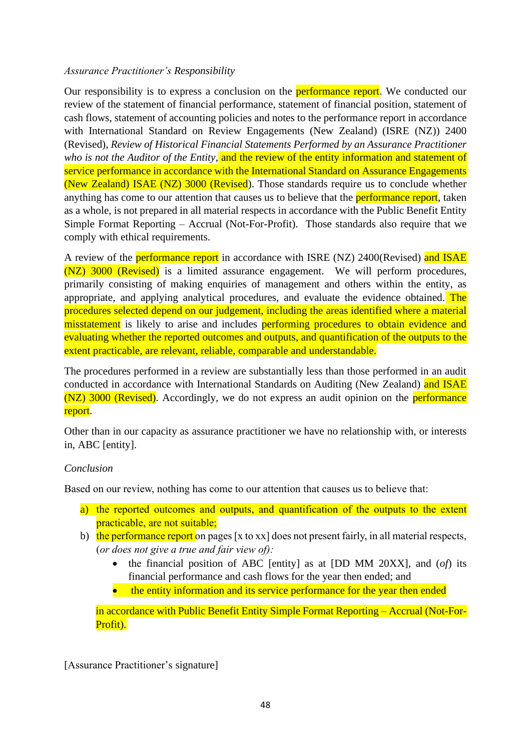# *Assurance Practitioner's Responsibility*

Our responsibility is to express a conclusion on the **performance report**. We conducted our review of the statement of financial performance, statement of financial position, statement of cash flows, statement of accounting policies and notes to the performance report in accordance with International Standard on Review Engagements (New Zealand) (ISRE (NZ)) 2400 (Revised), *Review of Historical Financial Statements Performed by an Assurance Practitioner who is not the Auditor of the Entity*, and the review of the entity information and statement of service performance in accordance with the International Standard on Assurance Engagements (New Zealand) ISAE (NZ) 3000 (Revised). Those standards require us to conclude whether anything has come to our attention that causes us to believe that the **performance report**, taken as a whole, is not prepared in all material respects in accordance with the Public Benefit Entity Simple Format Reporting – Accrual (Not-For-Profit). Those standards also require that we comply with ethical requirements.

A review of the **performance report** in accordance with ISRE (NZ) 2400(Revised) and ISAE (NZ) 3000 (Revised) is a limited assurance engagement. We will perform procedures, primarily consisting of making enquiries of management and others within the entity, as appropriate, and applying analytical procedures, and evaluate the evidence obtained. The procedures selected depend on our judgement, including the areas identified where a material misstatement is likely to arise and includes performing procedures to obtain evidence and evaluating whether the reported outcomes and outputs, and quantification of the outputs to the extent practicable, are relevant, reliable, comparable and understandable.

The procedures performed in a review are substantially less than those performed in an audit conducted in accordance with International Standards on Auditing (New Zealand) and ISAE (NZ) 3000 (Revised). Accordingly, we do not express an audit opinion on the performance report.

Other than in our capacity as assurance practitioner we have no relationship with, or interests in, ABC [entity].

# *Conclusion*

Based on our review, nothing has come to our attention that causes us to believe that:

- a) the reported outcomes and outputs, and quantification of the outputs to the extent practicable, are not suitable;
- b) the performance report on pages [x to xx] does not present fairly, in all material respects, (*or does not give a true and fair view of):*
	- the financial position of ABC [entity] as at [DD MM 20XX], and (*of*) its financial performance and cash flows for the year then ended; and
	- the entity information and its service performance for the year then ended

in accordance with Public Benefit Entity Simple Format Reporting – Accrual (Not-For-Profit).

[Assurance Practitioner's signature]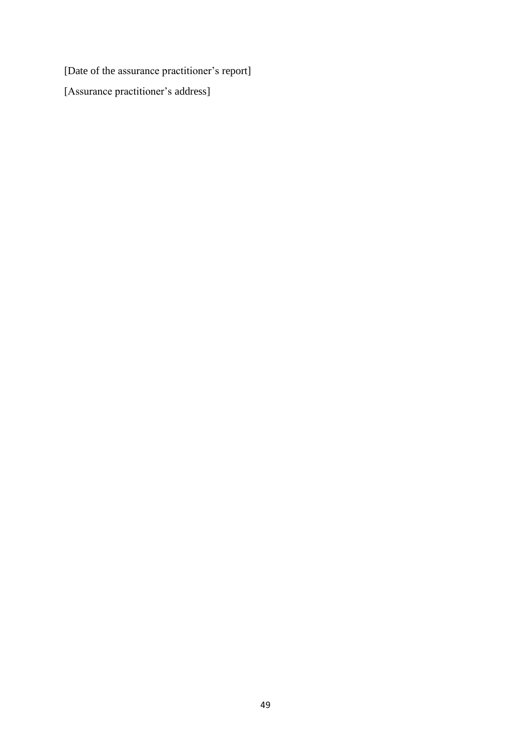[Date of the assurance practitioner's report] [Assurance practitioner's address]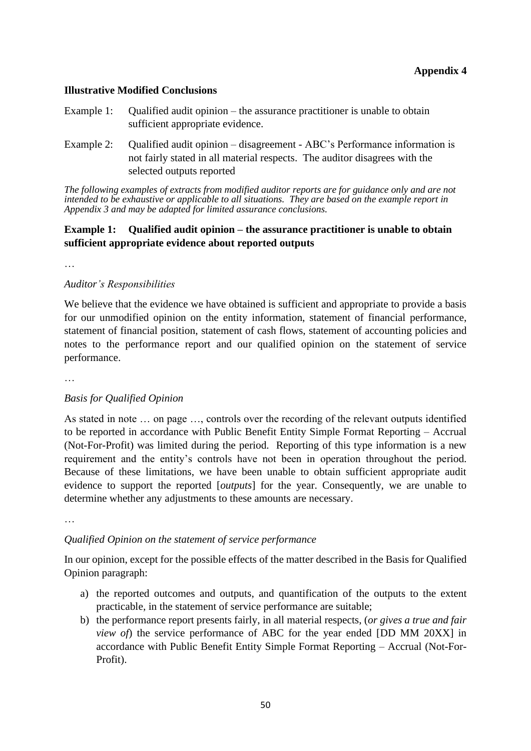### **Illustrative Modified Conclusions**

- Example 1: Qualified audit opinion the assurance practitioner is unable to obtain sufficient appropriate evidence.
- Example 2: Qualified audit opinion disagreement ABC's Performance information is not fairly stated in all material respects. The auditor disagrees with the selected outputs reported

*The following examples of extracts from modified auditor reports are for guidance only and are not intended to be exhaustive or applicable to all situations. They are based on the example report in Appendix 3 and may be adapted for limited assurance conclusions.*

### **Example 1: Qualified audit opinion – the assurance practitioner is unable to obtain sufficient appropriate evidence about reported outputs**

…

#### *Auditor's Responsibilities*

We believe that the evidence we have obtained is sufficient and appropriate to provide a basis for our unmodified opinion on the entity information, statement of financial performance, statement of financial position, statement of cash flows, statement of accounting policies and notes to the performance report and our qualified opinion on the statement of service performance.

…

#### *Basis for Qualified Opinion*

As stated in note … on page …, controls over the recording of the relevant outputs identified to be reported in accordance with Public Benefit Entity Simple Format Reporting – Accrual (Not-For-Profit) was limited during the period. Reporting of this type information is a new requirement and the entity's controls have not been in operation throughout the period. Because of these limitations, we have been unable to obtain sufficient appropriate audit evidence to support the reported [*outputs*] for the year. Consequently, we are unable to determine whether any adjustments to these amounts are necessary.

…

#### *Qualified Opinion on the statement of service performance*

In our opinion, except for the possible effects of the matter described in the Basis for Qualified Opinion paragraph:

- a) the reported outcomes and outputs, and quantification of the outputs to the extent practicable, in the statement of service performance are suitable;
- b) the performance report presents fairly, in all material respects, (*or gives a true and fair view of*) the service performance of ABC for the year ended [DD MM 20XX] in accordance with Public Benefit Entity Simple Format Reporting – Accrual (Not-For-Profit).